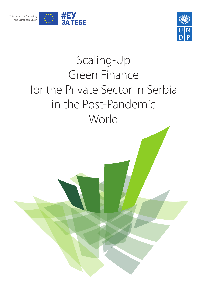



# Scaling-Up Green Finance for the Private Sector in Serbia in the Post-Pandemic World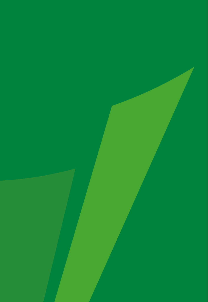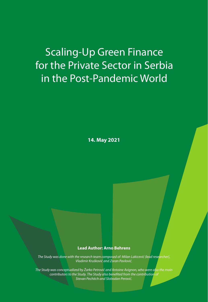# Scaling-Up Green Finance for the Private Sector in Serbia in the Post-Pandemic World

**14. May 2021**

#### **Lead Author: Arno Behrens**

*The Study was done with the research team composed of: Milan Lakicević (lead researcher), Vladimir Krušković and Zoran Pavlović.*

*The Study was conceptualized by Žarko Petrović and Antoine Avignon, who were also the main contributors to the Study. The Study also benefited from the contribution of Stevan Pechitch and Slobodan Perović.*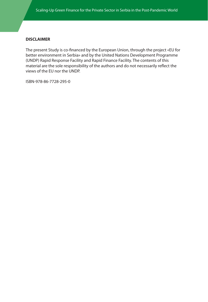#### **DISCLAIMER**

The present Study is co-financed by the European Union, through the project «EU for better environment in Serbia» and by the United Nations Development Programme (UNDP) Rapid Response Facility and Rapid Finance Facility. The contents of this material are the sole responsibility of the authors and do not necessarily reflect the views of the EU nor the UNDP.

ISBN-978-86-7728-295-0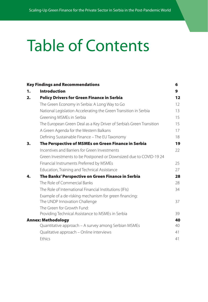# Table of Contents

|    | <b>Key Findings and Recommendations</b>                              | 6  |
|----|----------------------------------------------------------------------|----|
| 1. | <b>Introduction</b>                                                  | 9  |
| 2. | <b>Policy Drivers for Green Finance in Serbia</b>                    | 12 |
|    | The Green Economy in Serbia: A Long Way to Go                        | 12 |
|    | National Legislation Accelerating the Green Transition in Serbia     | 13 |
|    | Greening MSMEs in Serbia                                             | 15 |
|    | The European Green Deal as a Key Driver of Serbia's Green Transition | 15 |
|    | A Green Agenda for the Western Balkans                               | 17 |
|    | Defining Sustainable Finance - The EU Taxonomy                       | 18 |
| З. | The Perspective of MSMEs on Green Finance in Serbia                  | 19 |
|    | Incentives and Barriers for Green Investments                        | 22 |
|    | Green Investments to be Postponed or Downsized due to COVID-19 24    |    |
|    | Financial Instruments Preferred by MSMEs                             | 25 |
|    | Education, Training and Technical Assistance                         | 27 |
| 4. | The Banks' Perspective on Green Finance in Serbia                    | 28 |
|    | The Role of Commercial Banks                                         | 28 |
|    | The Role of International Financial Institutions (IFIs)              | 34 |
|    | Example of a de-risking mechanism for green financing:               |    |
|    | The UNDP Innovation Challenge                                        | 37 |
|    | The Green for Growth Fund:                                           |    |
|    | Providing Technical Assistance to MSMEs in Serbia                    | 39 |
|    | <b>Annex: Methodology</b>                                            | 40 |
|    | Quantitative approach – A survey among Serbian MSMEs                 | 40 |
|    | Qualitative approach - Online interviews                             | 41 |
|    | <b>Ethics</b>                                                        | 41 |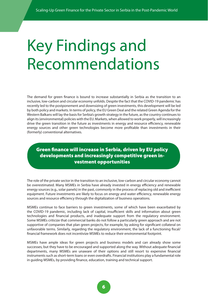# Key Findings and Recommendations

The demand for green finance is bound to increase substantially in Serbia as the transition to an inclusive, low-carbon and circular economy unfolds. Despite the fact that the COVID-19 pandemic has recently led to the postponement and downsizing of green investments, this development will be led by both policy and markets. In terms of policy, the EU Green Deal and the related Green Agenda for the Western Balkans will lay the basis for Serbia's growth strategy in the future, as the country continues to align its (environmental) policies with the EU. Markets, when allowed to work properly, will increasingly drive the green transition in the future as investments in energy and resource efficiency, renewable energy sources and other green technologies become more profitable than investments in their (formerly) conventional alternatives.

#### Green finance will increase in Serbia, driven by EU policy developments and increasingly competitive green investment opportunities

The role of the private sector in the transition to an inclusive, low-carbon and circular economy cannot be overestimated. Many MSMEs in Serbia have already invested in energy efficiency and renewable energy sources (e.g., solar panels) in the past, commonly in the process of replacing old and inefficient equipment. Future investments are likely to focus on energy and water efficiency, renewable energy sources and resource efficiency through the digitalization of business operations.

MSMEs continue to face barriers to green investments, some of which have been exacerbated by the COVID-19 pandemic, including lack of capital, insufficient skills and information about green technologies and financial products, and inadequate support from the regulatory environment. Some MSMEs criticize that commercial banks do not follow a particularly green approach and are not supportive of companies that plan green projects, for example, by asking for significant collateral on unfavorable terms. Similarly, regarding the regulatory environment, the lack of a functioning fiscal/ financial framework does not incentivize MSMEs to reduce their environmental footprint.

MSMEs have ample ideas for green projects and business models and can already show some successes, but they have to be encouraged and supported along the way. Without adequate financial departments, many MSMEs are unaware of their options and still resort to expensive financial instruments such as short-term loans or even overdrafts. Financial institutions play a fundamental role in guiding MSMEs, by providing finance, education, training and technical support.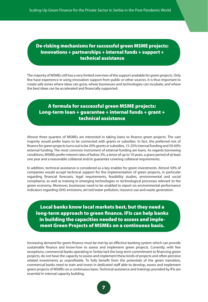<span id="page-6-0"></span>De-risking mechanisms for successful green MSME projects: Innovations + partnerships + internal funds + support + technical assistance

The majority of MSMEs still has a very limited overview of the support available for green projects. Only few have experience in using innovation support from public or other sources. It is thus important to create safe zones where ideas can grow, where businesses and technologies can incubate, and where the best ideas can be accelerated and financially supported.

#### A formula for successful green MSME projects: Long-term loan + guarantee + internal funds + grant + technical assistance

Almost three quarters of MSMEs are interested in taking loans to finance green projects. The vast majority would prefer loans to be connected with grants or subsidies. In fact, the preferred mix of finance for green projects turns out to be 20% grants or subsidies, 15-25% internal funding and 50-60% external funding. The most common instrument of external funding are loans. As regards borrowing conditions, MSMEs prefer interest rates of below 3%, a tenor of up to 10 years, a grace period of at least one year and a reasonable collateral and/or guarantee covering collateral requirements.

In addition, technical assistance is considered as a key enabler for green investments. Almost 50% of companies would accept technical support for the implementation of green projects, in particular regarding financial forecasts, legal requirements, feasibility studies, environmental and social compliance, as well as training in emerging technologies or technological processes relevant to the green economy. Moreover, businesses need to be enabled to report on environmental performance indicators regarding GHG emissions, air/soil/water pollution, resource use and waste generation.

Local banks know local markets best, but they need a long-term approach to green finance. IFIs can help banks in building the capacities needed to assess and implement Green Projects of MSMEs on a continuous basis.

Increasing demand for green finance must be met by an effective banking system which can provide sustainable finance and know-how to assess and implement green projects. Currently, with few exceptions, commercial banks operating in Serbia lack the long-term commitment to financing green projects, do not have the capacity to assess and implement these kinds of projects and often perceive related investments as unprofitable. To fully benefit from the potentials of the green transition, commercial banks need to train and invest in dedicated staff able to develop, assess and implement green projects of MSMEs on a continuous basis. Technical assistance and trainings provided by IFIs are essential in internal capacity building.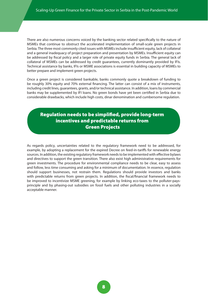There are also numerous concerns voiced by the banking sector related specifically to the nature of MSMEs that continue to obstruct the accelerated implementation of small-scale green projects in Serbia. The three most commonly cited issues with MSMEs include insufficient equity, lack of collateral and a general inadequacy of project preparation and presentation by MSMEs. Insufficient equity can be addressed by fiscal policy and a larger role of private equity funds in Serbia. The general lack of collateral of MSMEs can be addressed by credit guarantees, currently dominantly provided by IFIs. Technical assistance by banks, IFIs or MSME associations is essential in building capacity of MSMEs to better prepare and implement green projects.

Once a green project is considered bankable, banks commonly quote a breakdown of funding to be roughly 30% equity and 70% external financing. The latter can consist of a mix of instruments, including credit lines, guarantees, grants, and/or technical assistance. In addition, loans by commercial banks may be supplemented by IFI loans. No green bonds have yet been certified in Serbia due to considerable drawbacks, which include high costs, dinar denomination and cumbersome regulation.

#### Regulation needs to be simplified, provide long-term incentives and predictable returns from Green Projects

As regards policy, uncertainties related to the regulatory framework need to be addressed, for example, by adopting a replacement for the expired Decree on feed-in-tariffs for renewable energy sources. In addition, the existing regulatory framework needs to be implemented with effective bylaws and directives to support the green transition. There also exist high administrative requirements for green investments. The procedure for environmental compliance needs to be clear, easy to assess and follow, less time consuming and asking for a minimum of documentation. In essence, regulation should support businesses, not restrain them. Regulations should provide investors and banks with predictable returns from green projects. In addition, the fiscal/financial framework needs to be improved to incentivize MSME greening, for example by linking eco-taxes to the polluter-paysprinciple and by phasing-out subsidies on fossil fuels and other polluting industries in a socially acceptable manner.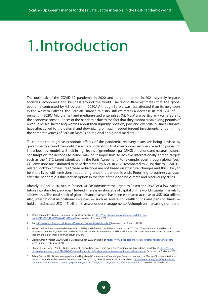# <span id="page-8-0"></span>1.Introduction

The outbreak of the COVID-19 pandemic in 2020 and its continuation in 2021 severely impacts societies, economies and business around the world. The World Bank estimates that the global economy contracted by 4.3 percent in 2020.<sup>1</sup> Although Serbia was less affected than its neighbors in the Western Balkans, the Serbian Finance Ministry still estimates a decrease in real GDP of 1.0 percent in 2020.<sup>2</sup> Micro, small and medium-sized enterprises (MSMEs)<sup>3</sup> are particularly vulnerable to the economic consequences of the pandemic due to the fact that they cannot sustain long periods of revenue losses. Increasing worries about their liquidity position, jobs and eventual business survival have already led to the deferral and downsizing of much needed (green) investments, undermining the competitiveness of Serbian MSMEs on regional and global markets.

To counter the negative economic effects of the pandemic, recovery plans are being devised by governments around the world. It is widely understood that an economic recovery based on prevailing linear business models will lock-in high levels of greenhouse gas (GHG) emissions and natural resource consumption for decades to come, making it impossible to achieve internationally agreed targets such as the 1.5°C target stipulated in the Paris Agreement. For example, even though global fossil CO<sub>2</sub> emissions are estimated to have decreased by 6.7% in 2020 (compared to 2019) due to COVID19related lockdown measures,<sup>4</sup> these reductions are not based on structural changes and thus likely to be short lived with emissions rebounding once the pandemic ends. Returning to business as usual after the pandemic is thus not an option in the face of the ongoing climate and biodiversity crises.

Already in April 2020, Achim Steiner, UNDP Administrator, urged to "insert the DNA" of a low-carbon future into stimulus packages.<sup>5</sup> Indeed, there is no shortage of capital on the world's capital markets to achieve this. The total stock of global financial assets has been estimated at close to USD 300 trillion. Also, international institutional investors — such as sovereign wealth funds and pension funds hold an estimated USD 115 trillion in assets under management.<sup>6</sup> Although an increasing number of

<sup>1</sup> World Bank (2021), Global Economic Prospects, available at https://[openknowledge](https://openknowledge.worldbank.org/bitstream/handle/10986/34710/9781464816123.pdf).worldbank.org/bitstream/ handle[/10986/34710/9781464816123.](https://openknowledge.worldbank.org/bitstream/handle/10986/34710/9781464816123.pdf)pdf (accessed on 8 February 2021)

<sup>2</sup> See https://www.mfin.gov.rs/dokumenti/[makroekonomski](https://www.mfin.gov.rs/dokumenti/makroekonomski-i-fiskalni-podaci/)-i-fiskalni-podaci/ (accessed on 17 March 2021)

<sup>3</sup> Micro, small and medium-sized enterprises (MSMEs) are defined in the EU recommendation 2003/361. They are determined by staff headcount (micro <10, small <50, medium <250) and either turnover (micro ≤ EUR 2 million, small ≤ 10 m, medium ≤ 50 m) or balance sheet total (micro  $\leq 2$  m, small  $\leq 10$  m, medium  $\leq 43$  m).

<sup>4</sup> Global Carbon Project (2020), Global Carbon Budget 2020, available at https://www.[globalcarbonproject](https://www.globalcarbonproject.org/carbonbudget/index.htm).org/carbonbudget/index.htm (accessed on 8 February 2021)

<sup>5</sup> Climate Home News (2020), UN development chief calls for green shift away from 'irrational' oil dependence, available at https://[www](https://www.climatechangenews.com/2020/04/24/un-development-chief-calls-green-shift-away-irrational-oil-dependence/). [climatechangenews](https://www.climatechangenews.com/2020/04/24/un-development-chief-calls-green-shift-away-irrational-oil-dependence/).com/2020/04/24/un-development-chief-calls-green-shift-away-irrational-oil-dependence/ (accessed on 23 March 2021)

<sup>6</sup> Achim Steiner (2017), Keynote speech at the High-Level Conference on Financing for Development and the Means of Implementation of the 2030 Agenda for Sustainable Development, Doha, Qatar, 18-19 November 2017, available at https://[www](https://www.un.org/esa/ffd/high-level-conference-on-ffd-and-2030-agenda/wp-content/uploads/sites/4/2017/11/Opening_Achim-Steiner.pdf).un.org/esa/ffd/high-levelconference-on-ffd-and-2030-agenda/wp-content/uploads/sites[/4/2017/11/](https://www.un.org/esa/ffd/high-level-conference-on-ffd-and-2030-agenda/wp-content/uploads/sites/4/2017/11/Opening_Achim-Steiner.pdf)Opening\_Achim-Steiner.pdf (accessed on 23 March 2021)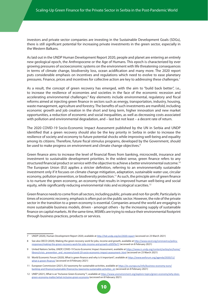investors and private sector companies are investing in the Sustainable Development Goals (SDGs), there is still significant potential for increasing private investments in the green sector, especially in the Western Balkans.

As laid out in the UNDP Human Development Report 2020, people and planet are entering an entirely new geological epoch, the Anthropocene or the Age of Humans. This epoch is characterized by ever growing pressures of socioeconomic systems on the environment with life threatening consequences in terms of climate change, biodiversity loss, ocean acidification and many more. The 2020 report puts considerable emphasis on incentives and regulations which need to evolve to ease planetary pressures. Finance, prices and incentives for collective action are key to addressing these challenges.<sup>7</sup>

As a result, the concept of green recovery has emerged, with the aim to "build back better", i.e., to increase the resilience of economies and societies in the face of the economic recession and accelerating environmental challenges.<sup>8</sup> Key elements include environmental, regulatory and fiscal reforms aimed at injecting green finance in sectors such as energy, transportation, industry, housing, waste management, agriculture and forestry. The benefits of such investments are manifold, including economic growth and job creation in the short and long term, higher innovation and new market opportunities, a reduction of economic and social inequalities, as well as decreasing costs associated with pollution and environmental degradation, and – last but not least – a decent rate of return.

The 2020 COVID-19 Socio-Economic Impact Assessment published by the UN in Serbia and UNDP identified that a green recovery should also be the key priority in Serbia in order to increase the resilience of society and economy to future potential shocks while improving well-being and equality among its citizens. Therefore, future fiscal stimulus programs, developed by the Government, should be used to make progress on environment and climate change objectives.<sup>9</sup>

Green finance aims to increase the level of financial flows from banking, microcredit, insurance and investment to sustainable development priorities. In the widest sense, green finance refers to any structured financial product or service with the objective to achieve a better environmental outcome.<sup>10</sup> The European Union (EU) applies a stricter definition, referring to an environmentally sustainable investment only if it focuses on climate change mitigation, adaptation, sustainable water use, circular economy, pollution prevention, or biodiversity protection.<sup>11</sup> As such, the principle aim of green finance is to nurture the green economy, an economy that results in improved human well-being and social equity, while significantly reducing environmental risks and ecological scarcities.<sup>12</sup>

Green finance needs to come from all sectors, including public, private and not-for-profit. Particularly in times of economic recovery, emphasis is often put on the public sector. However, the role of the private sector in the transition to a green economy is essential. Companies around the world are engaging in more sustainable business models, driven - amongst others - by the increasing supply of sustainable finance on capital markets. At the same time, MSMEs are trying to reduce their environmental footprint through business practices, products or services.

<sup>7</sup> UNDP (2020), Human Development Report 2020, available at http://hdr.undp.org/en[/2020-](http://hdr.undp.org/en/2020-report)report (accessed on 23 March 2021)

<sup>8</sup> See also OECD (2020), Making the green recovery work for jobs, income and growth, available at http://www.oecd.org/[coronavirus](http://www.oecd.org/coronavirus/policy-responses/making-the-green-recovery-work-for-jobs-income-and-growth-a505f3e7/)/policy[responses](http://www.oecd.org/coronavirus/policy-responses/making-the-green-recovery-work-for-jobs-income-and-growth-a505f3e7/)/making-the-green-recovery-work-for-jobs-income-and-growth-a505f3e7/ (accessed on 8 February 2021)

<sup>9</sup> United Nations Serbia, UNDP, COVID-19 Socio-Economic Impact Assessment, available at https://www.rs.undp.org/[content](https://www.rs.undp.org/content/serbia/en/home/library/crisis_prevention_and_recovery/covid-19-socio-economic-impact-assessment-.html)/serbia/en/home/ library/crisis\_prevention\_and\_recovery/covid-19-socio-economic-impact-[assessment](https://www.rs.undp.org/content/serbia/en/home/library/crisis_prevention_and_recovery/covid-19-socio-economic-impact-assessment-.html)-.html (accessed on 23 March 2021)

<sup>10</sup> World Economic Forum (2020), What is green finance and why is it important?, available at https://www.weforum.org/agenda[/2020/11/](https://www.weforum.org/agenda/2020/11/what-is-green-finance/) what-is-green-[finance](https://www.weforum.org/agenda/2020/11/what-is-green-finance/)/ (accessed on 8 February 2021)

<sup>11</sup> European Commission (2021), EU taxonomy for sustainable activities, available at https://ec.europa.eu/info/business-[economy](https://ec.europa.eu/info/business-economy-euro/banking-and-finance/sustainable-finance/eu-taxonomy-sustainable-activities_en)-euro/ banking-and-finance/sustainable-finance/eu-taxonomy-[sustainable](https://ec.europa.eu/info/business-economy-euro/banking-and-finance/sustainable-finance/eu-taxonomy-sustainable-activities_en)-activities\_en (accessed on 8 February 2021)

<sup>12</sup> UNEP (2021), What is an "Inclusive Green Economy"?, available at https://www.[unenvironment](https://www.unenvironment.org/explore-topics/green-economy/why-does-green-economy-matter/what-inclusive-green-economy).org/explore-topics/green-economy/why-doesgreen-[economy](https://www.unenvironment.org/explore-topics/green-economy/why-does-green-economy-matter/what-inclusive-green-economy)-matter/what-inclusive-green-economy (accessed on 8 February 2021)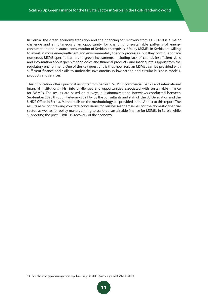In Serbia, the green economy transition and the financing for recovery from COVID-19 is a major challenge and simultaneously an opportunity for changing unsustainable patterns of energy consumption and resource consumption of Serbian enterprises.13 Many MSMEs in Serbia are willing to invest in more energy-efficient and environmentally friendly processes, but they continue to face numerous MSME-specific barriers to green investments, including lack of capital, insufficient skills and information about green technologies and financial products, and inadequate support from the regulatory environment. One of the key questions is thus how Serbian MSMEs can be provided with sufficient finance and skills to undertake investments in low-carbon and circular business models, products and services.

This publication offers practical insights from Serbian MSMEs, commercial banks and international financial institutions (IFIs) into challenges and opportunities associated with sustainable finance for MSMEs. The results are based on surveys, questionnaires and interviews conducted between September 2020 through February 2021 by by the consultants and staff of the EU Delegation and the UNDP Office in Serbia. More details on the methodology are provided in the Annex to this report. The results allow for drawing concrete conclusions for businesses themselves, for the domestic financial sector, as well as for policy makers aiming to scale-up sustainable finance for MSMEs in Serbia while supporting the post COVID-19 recovery of the economy.

<sup>13</sup> See also Strategija održivog razvoja Republike Srbije do 2030 ("Službeni glasnik RS" br. 47/2019)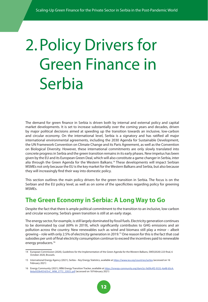# <span id="page-11-0"></span>2.Policy Drivers for Green Finance in Serbia

The demand for green finance in Serbia is driven both by internal and external policy and capital market developments. It is set to increase substantially over the coming years and decades, driven by major political decisions aimed at speeding up the transition towards an inclusive, low-carbon and circular economy. On the international level, Serbia is a signatory and has ratified all major international environmental agreements, including the 2030 Agenda for Sustainable Development, the UN Framework Convention on Climate Change and its Paris Agreement, as well as the Convention on Biological Diversity. However, these international commitments are only slowly translated into concrete progress in Serbia and the green transition remains in its early phases. New impetus has been given by the EU and its European Green Deal, which will also constitute a game changer in Serbia, inter alia through the Green Agenda for the Western Balkans.<sup>14</sup> These developments will impact Serbian MSMEs not only because the EU is the key market for the Western Balkans and Serbia, but also because they will increasingly find their way into domestic policy.

This section outlines the main policy drivers for the green transition in Serbia. The focus is on the Serbian and the EU policy level, as well as on some of the specificities regarding policy for greening MSMEs.

### **The Green Economy in Serbia: A Long Way to Go**

Despite the fact that there is ample political commitment to the transition to an inclusive, low-carbon and circular economy, Serbia's green transition is still at an early stage.

The energy sector, for example, is still largely dominated by fossil fuels. Electricity generation continues to be dominated by coal (69% in 2019), which significantly contributes to GHG emissions and air pollution across the country. New renewables such as wind and biomass still play a minor – albeit growing – role with only 2.5% of electricity generation in 2019.15 One reason for this is the fact that coal subsidies per unit of final electricity consumption continue to exceed the incentives paid to renewable energy producers.<sup>16</sup>

<sup>14</sup> European Commission (2020), Guidelines for the Implementation of the Green Agenda for the Western Balkans, SWD(2020) 223 final, 6 October 2020, Brussels.

<sup>15</sup> International Energy Agency (2021), Serbia – Key Energy Statistics, available at https://www.iea.org/[countries](https://www.iea.org/countries/serbia)/serbia (accessed on 16 February 2021)

<sup>16</sup> Energy Community (2021), WB6 Energy Transition Tracker, available at https://energy-community.org/dam/jcr:[fe09c4f2-9151-4a48](https://energy-community.org/dam/jcr:fe09c4f2-9151-4a48-b5c4-8eba920b4554/EnC_WB6_ETT2_22021.pdf)-b5c4- 8eba920b4554/EnC[\\_WB6\\_ETT2\\_22021.](https://energy-community.org/dam/jcr:fe09c4f2-9151-4a48-b5c4-8eba920b4554/EnC_WB6_ETT2_22021.pdf)pdf (accessed on 18 February 2021)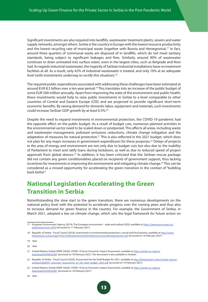<span id="page-12-0"></span>Significant investments are also required into landfills, wastewater treatment plants, sewers and water supply networks, amongst others. Serbia is the country in Europe with the lowest resource productivity and the lowest recycling rate of municipal waste (together with Bosnia and Herzegovina).<sup>17</sup> In fact, around three quarters of communal waste are disposed of in landfills, which do not meet sanitary standards, being subject to significant leakages and fires. Similarly, around 90% of wastewater continues to drain untreated into surface water, even in the largest cities, such as Belgrade and Novi Sad. As regards industrial wastewater, the majority of Serbian industrial installations have no treatment facilities at all. As a result, only 42% of industrial wastewater is treated, and only 10% at an adequate level (with investments underway to rectify this situation).<sup>18</sup>

The required public expenditures associated with addressing these challenges have been estimated at around EUR 8.5 billion over a ten-year period.<sup>19</sup> This translates into an increase of the public budget of some EUR 500 million annually. Apart from improving the state of the environment and public health, these investments would help to raise public investments in Serbia to a level comparable to other countries of Central and Eastern Europe (CEE) and are projected to provide significant short-term economic benefits. By raising demand for domestic labor, equipment and materials, such investments could increase Serbian GDP growth by at least 0.5%.20

Despite the need to expand investments in environmental protection, the COVID-19 pandemic had the opposite effect on the public budget. As a result of budget cuts, numerous planned activities in the environmental sector need to be scaled down or postponed. This affects all areas, including waste and wastewater management, pollutant emissions reductions, climate change mitigation and the adaptation of measures for natural protection.<sup>21</sup> This is also reflected in the 2021 budget, which does not plan for any major increases in government expenditures for these purposes.<sup>22</sup> Delays of projects in the area of energy and environment are not only due to budget cuts but also due to the inability of Parliament to meet and ratify loans during lockdown, as well as due to reduced speed of project approvals from global donors.<sup>23</sup> In addition, it has been criticized that the Serbian rescue package did not contain any green conditionalities placed on recipients of government support, thus lacking incentives for investments in improving the environment and mitigating climate change.<sup>24</sup> This can be considered as a missed opportunity for accelerating the green transition in the context of "building back better".

# **National Legislation Accelerating the Green Transition in Serbia**

Notwithstanding the slow start to the green transition, there are numerous developments on the national policy level with the potential to accelerate progress over the coming years and thus also to increase demand for green finance in the country. For example, the Government of Serbia, in March 2021, adopted a law on climate change, which sets the legal framework for future action on

<sup>17</sup> European Environment Agency (2019), The European environment – state and outlook 2020, available at https://www.eea.[europa](https://www.eea.europa.eu/publications/soer-2020).eu/ [publications](https://www.eea.europa.eu/publications/soer-2020)/soer-2020 (accessed on 11 February 2021)

<sup>18</sup> Republic of Serbia - Fiscal Council (2018), Investments in environmental protection: a social and fiscal priority, available at http://[www](http://www.fiskalnisavet.rs/doc/eng/FC%20-%20Investments%20in%20environmental%20protection.pdf). fiskalnisavet.rs/doc/eng/FC%20-%20Investments%20in%[20environmental](http://www.fiskalnisavet.rs/doc/eng/FC%20-%20Investments%20in%20environmental%20protection.pdf)%20protection.pdf (accessed on 16 February 2021)

<sup>19</sup> Ibid.

<sup>20</sup> Ibid.

<sup>21</sup> United Nations Serbia/UNDP (2020), COVID-19 Socio-Economic Impact Assessment, available at https://[serbia](https://serbia.un.org/en/download/50709/92907).un.org/en/ download/[50709/92907](https://serbia.un.org/en/download/50709/92907) (accessed on 18 February 2021). The document is also available in Serbian.

<sup>22</sup> Republic of Serbia - Fiscal Council (2020), Assessment for the Draft Budget for 2021, available at http://[fiskalnisavet](http://fiskalnisavet.rs/doc/analize-stavovi-predlozi/2020/FC_Summary_Assessment_of_the_draft_budget_2021.pdf).rs/doc/analize-stavovi-predlozi/2020/FC\_Summary\_[Assessment](http://fiskalnisavet.rs/doc/analize-stavovi-predlozi/2020/FC_Summary_Assessment_of_the_draft_budget_2021.pdf)\_of\_the\_draft\_budget\_2021.pdf (accessed on 16 February 2021)

<sup>23</sup> United Nations Serbia/UNDP (2020), COVID-19 Socio-Economic Impact Assessment, available at https://[serbia](https://serbia.un.org/en/download/50709/92907).un.org/en/ download/[50709/92907](https://serbia.un.org/en/download/50709/92907) (accessed on 18 February 2021).

<sup>24</sup> Ibid.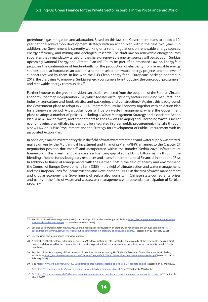greenhouse gas mitigation and adaptation. Based on this law, the Government plans to adopt a 10 year national low-carbon development strategy with an action plan within the next two years.<sup>25</sup> In addition, the Government is currently working on a set of regulations on renewable energy sources, energy efficiency, and mining and geological research. The draft law on renewable energy sources stipulates that a mandatory target for the share of renewable energy sources will be set out in Serbia's upcoming National Energy and Climate Plan (NECP), to be part of an amended Law on Energy.<sup>26</sup> It proposes the continuation of feed-in-tariffs for the production of electricity from renewable energy sources but also introduces an auction scheme to select renewable energy projects and the level of support received by them. In line with the EU's Clean energy for all Europeans package adopted in 2019, the draft aims to empower Serbian energy consumers by introducing the concept of prosumers $^{27}$ and renewable energy communities.<sup>28</sup>

Further impetus to the green transition can also be expected from the adoption of the Serbian Circular Economy Roadmap in September 2020, which focuses on four priority sectors, including manufacturing industry, agriculture and food, plastics and packaging, and construction.<sup>29</sup> Against this background, the Government plans to adopt in 2021 a Program for Circular Economy together with an Action Plan for a three-year period. A particular focus will be on waste management, where the Government plans to adopt a number of policies, including a Waste Management Strategy and associated Action Plan, a new Law on Waste, and amendments to the Law on Packaging and Packaging Waste. Circular economy principles will also increasingly be integrated in green public procurement, inter alia through a new Law on Public Procurement and the Strategy for Development of Public Procurement with its associated Action Plan.

In addition, a major investment cycle in the field of wastewater treatment and water supply was started, mainly driven by the Multiannual Investment and Financing Plan (MIFP), an annex to the Chapter 27 negotiation position document<sup>30</sup> and incorporated within the broader "Serbia 2025" infrastructure framework.<sup>31</sup> This investment cycle covers a financing gap of some EUR 8 billion mainly through the blending of donor funds, budgetary resources and loans from International Financial Institutions (IFIs). In addition to financial arrangements with the German KfW in the field of energy and environment, the Council of Europe Development Bank (CEB) in the field of climate action and water management, and the European Bank for Reconstruction and Development (EBRD) in the area of waste management and circular economy, the Government of Serbia also works with Chinese state-owned enterprises and banks in the field of waste and wastewater management with potential participation of Serbian MSMEs.32

<sup>25</sup> See also Balkan Green Energy News (2021), Serbia adopts bill on climate change, available at https://[balkangreenenergynews](https://balkangreenenergynews.com/serbia-adopts-bill-on-climate-change/).com/serbiaadopts-bill-on-[climate](https://balkangreenenergynews.com/serbia-adopts-bill-on-climate-change/)-change/ (accessed on 23 March 2021)

<sup>26</sup> See also Balkan Green Energy News (2021), Serbia opens public consultation on draft law on renewable energy, available at [https](https://balkangreenenergynews.com/serbia-opens-public-consultation-on-draft-law-on-renewable-energy/):// [balkangreenenergynews](https://balkangreenenergynews.com/serbia-opens-public-consultation-on-draft-law-on-renewable-energy/).com/serbia-opens-public-consultation-on-draft-law-on-renewable-energy/ (accessed on 10 February 2021)

<sup>27</sup> Energy users who also produce renewable energy.

<sup>28</sup> A collective of final customers (natural persons, MSMEs, local authorities etc.) located in the proximity of the renewable energy project owned and developed by the community with the aim to provide local environmental, economic or social community benefits for its members.

<sup>29</sup> Republic of Serbia – Ministry of Environmental Protection, circular economy, UNDP (2020), Roadmap for circular economy in Serbia, available at https://[circulareconomy](https://circulareconomy.europa.eu/platform/sites/default/files/roadmap-for-circular-economy-in-serbia.pdf).europa.eu/platform/sites/default/files/roadmap-for-circular-economy-in-serbia.pdf (accessed on 16 February 2021)

<sup>30</sup> See https://www.srbija.gov.rs/vest/439116/joksimovic-[pregovaracka](https://www.srbija.gov.rs/vest/439116/joksimovic-pregovaracka-pozicija-za-poglavlje-27-podneta-ek.php)-pozicija-za-poglavlje-27-podneta-ek.php (accessed on 17 March 2021)

<sup>31</sup> See https://www.predsednik.rs/lat/pres-centar/vesti/[predstavljen](https://www.predsednik.rs/lat/pres-centar/vesti/predstavljen-program-srbija-2025)-program-srbija-2025 (accessed on 17 March 2021)

<sup>32</sup> See https://www.mgsi.gov.rs/lat/aktuelnosti/momirovic-najznacajniji-projekat-izgradnje-komunalne-[infrastrukture](https://www.mgsi.gov.rs/lat/aktuelnosti/momirovic-najznacajniji-projekat-izgradnje-komunalne-infrastrukture-u-srbiji)-u-srbiji (accessed on 17 March 2021)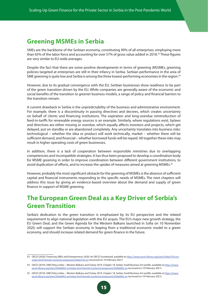# <span id="page-14-0"></span>**Greening MSMEs in Serbia**

SMEs are the backbone of the Serbian economy, constituting 99% of all enterprises, employing more than 65% of the labor force and accounting for over 57% of gross value added in 2018.<sup>33</sup> These figures are very similar to EU-wide averages.

Despite the fact that there are some positive developments in terms of greening (M)SMEs, greening policies targeted at enterprises are still in their infancy in Serbia. Serbian performance in the area of SME greening is quite low and Serbia is among the three lowest-performing economies in the region.<sup>34</sup>

However, due to its gradual convergence with the EU, Serbian businesses show readiness to be part of the green transition driven by the EU. While companies are generally aware of the economic and social benefits of the transition to greener business models, a range of policy and financial barriers to the transition remain.

A current drawback in Serbia is the unpredictability of the business and administrative environment. For example, there is a discontinuity in passing directives and decrees, which creates uncertainty on behalf of clients and financing institutions. The expiration and long-overdue reintroduction of feed-in-tariffs for renewable energy sources is an example. Similarly, where regulations exist, bylaws and directives are either missing or overdue, which equally affects investors and projects, which get delayed, put on standby or are abandoned completely. Any uncertainty translates into business risks: technological – whether the idea or product will work technically, market – whether there will be sufficient demand, and financial – whether borrowed funds will be repaid. All together these risks may result in higher operating costs of green businesses.

In addition, there is a lack of cooperation between responsible ministries due to overlapping competencies and incompatible strategies. It has thus been proposed to develop a coordination body for MSME greening in order to improve coordination between different government institutions, to avoid duplication of efforts, and to increase the uptake of measures aimed at greening MSMEs.<sup>35</sup>

However, probably the most significant obstacle for the greening of MSMEs is the absence of sufficient capital and financial instruments responding to the specific needs of MSMEs. The next chapters will address this issue by giving an evidence-based overview about the demand and supply of green finance in support of MSME greening.

# **The European Green Deal as a Key Driver of Serbia's Green Transition**

Serbia's dedication to the green transition is emphasized by its EU perspective and the related requirement to align national legislation with the EU acquis. The EU's major new growth strategy, the EU Green Deal, and the Green Agenda for the Western Balkans launched in Sofia on 10 November 2020, will support the Serbian economy in leaping from a traditional economic model to a green economy, and should increase related demand for green finance in the future.

<sup>33</sup> OECD (2020), Financing SMEs and Entrepreneurs 2020: An OECD Scoreboard, available at https://www.oecd-ilibrary.org/sites/[54da3754](https://www.oecd-ilibrary.org/sites/54da3754-en/index.html?itemId=/content/component/54da3754-en)-en/ index.html?itemId=/content/[component](https://www.oecd-ilibrary.org/sites/54da3754-en/index.html?itemId=/content/component/54da3754-en)/54da3754-en (accessed on 16 February 2021)

<sup>34</sup> OECD (2019), SME Policy Index - Western Balkans and Turkey 2019, Chapter 18. Serbia: Small Business Act profile, available at https://[www](https://www.oecd-ilibrary.org/sites/354bd091-en/index.html?itemId=/content/component/354bd091-en). oecd-ilibrary.org/sites/354bd091-en/index.html?itemId=/content/[component](https://www.oecd-ilibrary.org/sites/354bd091-en/index.html?itemId=/content/component/354bd091-en)/354bd091-en (accessed on 16 February 2021)

<sup>35</sup> OECD (2019), SME Policy Index - Western Balkans and Turkey 2019, Chapter 18. Serbia: Small Business Act profile, available at https://[www](https://www.oecd-ilibrary.org/sites/354bd091-en/index.html?itemId=/content/component/354bd091-en). oecd-ilibrary.org/sites/354bd091-en/index.html?itemId=/content/[component](https://www.oecd-ilibrary.org/sites/354bd091-en/index.html?itemId=/content/component/354bd091-en)/354bd091-en (accessed on 16 February 2021)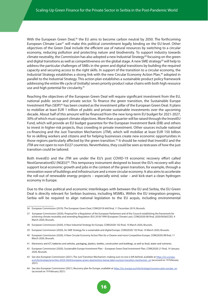With the European Green Deal, $36$  the EU aims to become carbon neutral by 2050. The forthcoming European Climate Law<sup>37</sup> will make this political commitment legally binding on the EU-level. Other objectives of the Green Deal include the efficient use of natural resources by switching to a circular economy, reducing pollution and protecting nature and biodiversity. To support industry towards climate neutrality, the Commission has also adopted a new Industrial Strategy<sup>38</sup> focusing on the green and digital transitions as well as competitiveness on the global stage. A new SME strategy<sup>39</sup> will help to address the particular challenges of SMEs in the green and digital transitions by building the required capacity and securing access to the right skills. In support of the transition to a circular economy, the Industrial Strategy establishes a strong link with the new Circular Economy Action Plan,<sup>40</sup> adopted in parallel to the Industrial Strategy. This action plan establishes a sustainable product policy framework addressing the entire life cycle of (initially) seven priority product value chains with both high resource use and high potential for circularity.<sup>41</sup>

Reaching the objectives of the European Green Deal will require significant investment from the EU, national public sector and private sector. To finance the green transition, the Sustainable Europe Investment Plan (SEIP)<sup>42</sup> has been created as the investment pillar of the European Green Deal. It plans to mobilize at least EUR 1 trillion of public and private sustainable investments over the upcoming decade. About half of this amount will be financed from the new long-term EU budget for 2021-2027, 30% of which must support climate objectives. More than a quarter will be raised through the InvestEU Fund, which will provide an EU budget guarantee for the European Investment Bank (EIB) and others to invest in higher-risk projects, thus crowding in private investment. Other sources include national co-financing and the Just Transition Mechanism (JTM), which will mobilize at least EUR 150 billion for re-skilling workers and citizens and for helping businesses create new economic opportunities in those regions particularly affected by the green transition.<sup>43</sup> It should be noted that InvestEU and the JTM are not open to non-EU27 countries. Nevertheless, they could be seen as testcases of how the just transition could be tailored.

Both InvestEU and the JTM are under the EU's post COVID-19 economic recovery effort called NextGenerationEU (NGEU)44. This temporary instrument designed to boost the EU's recovery will also support local economic growth and jobs in the context of the green transition, for example, through a renovation wave of buildings and infrastructure and a more circular economy. It also aims to accelerate the roll-out of renewable energy projects – especially wind, solar – and kick-start a clean hydrogen economy in Europe.

Due to the close political and economic interlinkages with between the EU and Serbia, the EU Green Deal is directly relevant for Serbian business, including MSMEs. Within the EU integration progress, Serbia will be required to align national legislation to the EU acquis, including environmental

<sup>36</sup> European Commission (2019), The European Green Deal, COM(2019) 640 final, 11 December 2019, Brussels.

<sup>37</sup> European Commission (2020), Proposal for a Regulation of the European Parliament and of the Council establishing the framework for achieving climate neutrality and amending Regulation (EU) 2018/1999 (European Climate Law), COM(2020) 80 final, 2020/0036(COD), 4 March 2020, Brussels.

<sup>38</sup> European Commission (2020), A New Industrial Strategy for Europe, COM(2020) 102 final, 10 March 2020, Brussels.

<sup>39</sup> European Commission (2020), An SME Strategy for a sustainable and digital Europe, COM(2020) 103 final, 10 March 2020, Brussels.

<sup>40</sup> European Commission (2020), A New Circular Economy Action Plan for a Cleaner and more Competitive Europe, COM(2020) 98 final, 11 March 2020, Brussels.

<sup>41</sup> Electronics and ICT, batteries and vehicles, packaging, plastics, textiles, construction and buildings, as well as food, water and nutrients.

<sup>42</sup> European Commission (2020), Sustainable Europe Investment Plan – European Green Deal Investment Plan, COM(2020) 21 final, 14 January 2020, Brussels.

<sup>43</sup> See also European Commission (2021), The Just Transition Mechanism: making sure no one is left behind, available at https://ec.[europa](https://ec.europa.eu/info/strategy/priorities-2019-2024/european-green-deal/actions-being-taken-eu/just-transition-mechanism_en). eu/info/strategy/priorities[-2019-2024/](https://ec.europa.eu/info/strategy/priorities-2019-2024/european-green-deal/actions-being-taken-eu/just-transition-mechanism_en)european-green-deal/actions-being-taken-eu/just-transition-mechanism\_en (accessed on 19 February 2021)

<sup>44</sup> See also European Commission (2021), Recovery plan for Europe, available at https://ec.europa.eu/info/strategy/[recovery](https://ec.europa.eu/info/strategy/recovery-plan-europe_en)-plan-europe\_en (accessed on 19 February 2021)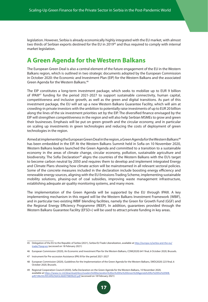<span id="page-16-0"></span>legislation. However, Serbia is already economically highly integrated with the EU market, with almost two thirds of Serbian exports destined for the EU in 2019<sup>45</sup> and thus required to comply with internal market legislation.

### **A Green Agenda for the Western Balkans**

The European Green Deal is also a central element of the future engagement of the EU in the Western Balkans region, which is outlined in two strategic documents adopted by the European Commission in October 2020: the Economic and Investment Plan (EIP) for the Western Balkans and the associated Green Agenda for the Western Balkans.46

The EIP constitutes a long-term investment package, which seeks to mobilize up to EUR 9 billion of IPAIII<sup>47</sup> funding for the period 2021-2027 to support sustainable connectivity, human capital, competitiveness and inclusive growth, as well as the green and digital transitions. As part of this investment package, the EU will set up a new Western Balkans Guarantee Facility, which will aim at crowding-in private investors with the ambition to potentially raise investments of up to EUR 20 billion along the lines of the six investment priorities set by the EIP. The diversified finance envisaged by the EIP will strengthen competitiveness in the region and will also help Serbian MSMEs to grow and green their businesses. Emphasis will be put on green growth and the circular economy, and in particular on scaling up investments in green technologies and reducing the costs of deployment of green technologies in the region.

Aimed at implementing the European Green Deal in the region, a Green Agenda for the Western Balkans<sup>48</sup> has been embedded in the EIP. At the Western Balkans Summit held in Sofia on 10 November 2020, Western Balkans leaders launched the Green Agenda and committed to a transition to a sustainable economy in the areas of climate change, circular economy, pollution, sustainable agriculture and biodiversity. The Sofia Declaration<sup>49</sup> aligns the countries of the Western Balkans with the EU's target to become carbon neutral by 2050 and requires them to develop and implement integrated Energy and Climate Plans showing how climate action will be mainstreamed in all relevant sectoral policies. Some of the concrete measures included in the declaration include boosting energy efficiency and renewable energy sources, aligning with the EU Emissions Trading Scheme, implementing sustainable mobility solutions, phasing-out of coal subsidies, improving waste management infrastructure, establishing adequate air quality monitoring systems, and many more.

The implementation of the Green Agenda will be supported by the EU through IPAIII. A key implementing mechanism in this regard will be the Western Balkans Investment Framework (WBIF), and in particular two existing WBIF blending facilities, namely the Green for Growth Fund (GGF) and the Regional Energy Efficiency Programme (REEP). In addition, guarantees provided through the Western Balkans Guarantee Facility (EFSD+) will be used to attract private funding in key areas.

<sup>45</sup> Delegation of the EU to the Republic of Serbia (2021), Serbia-EU Trade Liberalization, available at http://[europa](http://europa.rs/serbia-and-the-eu/trade/?lang=en).rs/serbia-and-the-eu/ [trade](http://europa.rs/serbia-and-the-eu/trade/?lang=en)/?lang=en (accessed on 18 February 2021)

<sup>46</sup> European Commission (2020), An Economic and Investment Plan for the Western Balkans, COM(2020) 641 final, 6 October 2020, Brussels.

<sup>47</sup> Instrument for Pre-accession Assistance (IPA) III for the period 2021-2027

<sup>48</sup> European Commission (2020), Guidelines for the Implementation of the Green Agenda for the Western Balkans, SWD(2020) 223 final, 6 October 2020, Brussels.

<sup>49</sup> Regional Cooperation Council (2020), Sofia Declaration on the Green Agenda for the Western Balkans, 10 November 2020, available at https://www.rcc.int/download/docs/Leaders%[20Declaration](https://www.rcc.int/download/docs/Leaders%20Declaration%20on%20the%20Green%20Agenda%20for%20the%20WB.pdf/196c92cf0534f629d43c460079809b20.pdf)%20on%20the%20Green%20Agenda%20for%20the%20WB. pdf/[196c92cf0534f629d43c460079809b20](https://www.rcc.int/download/docs/Leaders%20Declaration%20on%20the%20Green%20Agenda%20for%20the%20WB.pdf/196c92cf0534f629d43c460079809b20.pdf).pdf (accessed on 18 February 2021)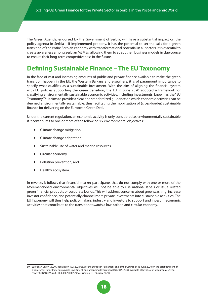<span id="page-17-0"></span>The Green Agenda, endorsed by the Government of Serbia, will have a substantial impact on the policy agenda in Serbia – if implemented properly. It has the potential to set the sails for a green transition of the entire Serbian economy with transformational potential in all sectors. It is essential to create awareness among Serbian MSMEs, allowing them to adapt their business models in due course to ensure their long-term competitiveness in the future.

# **Defining Sustainable Finance – The EU Taxonomy**

In the face of vast and increasing amounts of public and private finance available to make the green transition happen in the EU, the Western Balkans and elsewhere, it is of paramount importance to specify what qualifies as a sustainable investment. With the aim of aligning the financial system with EU policies supporting the green transition, the EU in June 2020 adopted a framework for classifying environmentally sustainable economic activities, including investments, known as the "EU Taxonomy"50. It aims to provide a clear and standardized guidance on which economic activities can be deemed environmentally sustainable, thus facilitating the mobilization of (cross-border) sustainable finance for delivering on the European Green Deal.

Under the current regulation, an economic activity is only considered as environmentally sustainable if it contributes to one or more of the following six environmental objectives:

- Climate change mitigation,
- Climate change adaptation,
- Sustainable use of water and marine resources,
- Circular economy,
- Pollution prevention, and
- Healthy ecosystem.

In reverse, it follows that financial market participants that do not comply with one or more of the aforementioned environmental objectives will not be able to use national labels or issue related green financial products or corporate bonds. This will address concerns about greenwashing, increase investor confidence, and potentially channel more private investments into sustainable activities. The EU Taxonomy will thus help policy-makers, industry and investors to support and invest in economic activities that contribute to the transition towards a low-carbon and circular economy.

<sup>50</sup> European Union (2020), Regulation (EU) 2020/852 of the European Parliament and of the Council of 18 June 2020 on the establishment of a framework to facilitate sustainable investment, and amending Regulation (EU) 2019/2088, available at https://eur-lex.europa.eu/legalcontent/EN/TXT/?uri=CELEX:32020R0852 (accessed on 18 February 2021)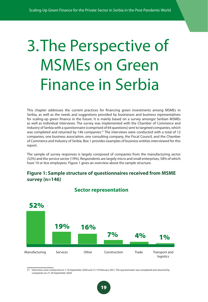# <span id="page-18-0"></span>3.The Perspective of MSMEs on Green Finance in Serbia

This chapter addresses the current practices for financing green investments among MSMEs in Serbia, as well as the needs and suggestions provided by businesses and business representatives for scaling-up green finance in the future. It is mainly based on a survey amongst Serbian MSMEs as well as individual interviews. The survey was implemented with the Chamber of Commerce and Industry of Serbia with a questionnaire (comprised of 64 questions) sent to targeted companies, which was completed and returned by 146 companies.<sup>51</sup> The interviews were conducted with a total of 12 companies, one business association, one consulting company, the Fiscal Council, and the Chamber of Commerce and Industry of Serbia. Box 1 provides examples of business entities interviewed for this report.

The sample of survey responses is largely composed of companies from the manufacturing sector (52%) and the service sector (19%). Respondents are largely micro and small enterprises, 58% of which have 10 or less employees. Figure 1 gives an overview about the sample structure.



#### **Sector representation**

**Figure 1: Sample structure of questionnaires received from MSME** 

**survey (n=146)**

51 Interviews were conducted on 7-18 September 2020 and 15-19 February 2021. The questionnaire was completed and returned by companies on 21-29 September 2020.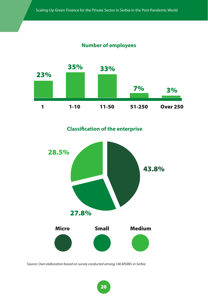Scaling-Up Green Finance for the Private Sector in Serbia in the Post-Pandemic World





### **Classification of the enterprise**



*Source: Own elaboration based on survey conducted among 146 MSMEs in Serbia*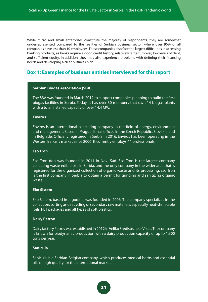While micro and small enterprises constitute the majority of respondents, they are somewhat underrepresented compared to the realities of Serbian business sector, where over 96% of all companies have less than 10 employees. These companies also face the largest difficulties in accessing banking products, as banks require a good credit history, relatively large turnover, low levels of debt, and sufficient equity. In addition, they may also experience problems with defining their financing needs and developing a clear business plan.

#### **Box 1: Examples of business entities interviewed for this report**

#### **Serbian Biogas Association (SBA)**

The SBA was founded in March 2012 to support companies planning to build the first biogas facilities in Serbia. Today, it has over 30 members that own 14 biogas plants with a total installed capacity of over 14.4 MW.

#### **Enviros**

Enviros is an international consulting company in the field of energy, environment and management. Based in Prague, it has offices in the Czech Republic, Slovakia and in Belgrade. Officially registered in Serbia in 2016, Enviros has been operating in the Western Balkans market since 2006. It currently employs 44 professionals.

#### **Eso Tron**

Eso Tron doo was founded in 2011 in Novi Sad. Eso Tron is the largest company collecting waste edible oils in Serbia, and the only company in the wider area that is registered for the organized collection of organic waste and its processing. Eso Tron is the first company in Serbia to obtain a permit for grinding and sanitizing organic waste.

#### **Eko Sistem**

Eko Sistem, based in Jagodina, was founded in 2006. The company specializes in the collection, sorting and recycling of secondary raw materials, especially heat-shrinkable foils, PET packages and all types of soft plastics.

#### **Dairy Petrov**

Dairy factory Petrov was established in 2012 in Veliko Srediste, near Vrsac. The company is known for biodynamic production with a dairy production capacity of up to 1,300 tons per year.

#### **Sanicula**

Sanicula is a Serbian-Belgian company, which produces medical herbs and essential oils of high quality for the international market.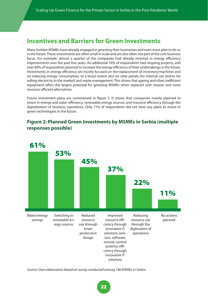### <span id="page-21-0"></span>**Incentives and Barriers for Green Investments**

Many Serbian MSMEs have already engaged in greening their businesses and even more plan to do so in the future. These investments are often small in scale and are also often not part of the core business focus. For example, almost a quarter of the companies had already invested in energy efficiency improvements over the past five years. An additional 16% of respondents had ongoing projects, and over 40% of respondents planned to increase the energy efficiency of their undertakings in the future. Investments in energy efficiency are mostly focused on the replacement of inventory/machines and on reducing energy consumption, to a lesser extent also on solar panels (for internal use and/or for selling electricity to the market) and waste management. This shows that ageing and often inefficient equipment offers the largest potential for greening MSMEs when replaced with cleaner and more resource efficient alternatives.

Future investment plans are summarized in figure 2. It shows that companies mainly planned to invest in energy and water efficiency, renewable energy sources, and resource efficiency through the digitalization of business operations. Only 11% of respondents did not have any plans to invest in green technologies in the future.

#### **Figure 2: Planned Green Investments by MSMEs in Serbia (multiple responses possible)**



*Source: Own elaboration based on survey conducted among 146 MSMEs in Serbia*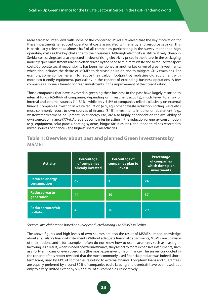More targeted interviews with some of the concerned MSMEs revealed that the key motivation for these investments is reduced operational costs associated with energy and resource savings. This is particularly relevant as almost half of all companies participating in the survey mentioned high operating costs as the key challenge to their business. Although electricity is still relatively cheap in Serbia, cost savings are also expected in view of rising electricity prices in the future. In the packaging industry, green investments are also often driven by the need to minimize waste and to reduce transport costs. Corporate social responsibility has been mentioned as another key driver of green investments, which also includes the desire of MSMEs to decrease pollution and to mitigate GHG emissions. For example, some companies aim to reduce their carbon footprint by replacing old equipment with more eco-friendly equipment, particularly in the context of expanding business operations. A few companies also see a benefit of green investments in the improvement of their credit rating.

Those companies that have invested in greening their business in the past have largely resorted to internal funds (65-84% of companies, depending on investment activity), much fewer to a mix of internal and external sources (11-31%), while only 4-5% of companies relied exclusively on external finance. Companies investing in waste reduction (e.g., equipment, waste reduction, sorting waste etc.) most commonly resort to own sources of finance (84%). Investments in pollution abatement (e.g., wastewater treatment, equipment, solar energy etc.) are also highly dependent on the availability of own sources of finance (77%). As regards companies investing in the reduction of energy consumption (e.g., equipment, solar panels, heating systems, biogas facilities etc.), about one third has resorted to mixed sources of finance – the highest share of all activities.

| <b>Activity</b>                       | Percentage<br>of companies<br>already invested | <b>Percentage of</b><br>companies plan to<br>invest | Percentage<br>of companies<br>which don't plan<br>investments |
|---------------------------------------|------------------------------------------------|-----------------------------------------------------|---------------------------------------------------------------|
| <b>Reduced energy</b><br>consumption  | 69                                             | 7                                                   | 24                                                            |
| <b>Reduced waste</b><br>generation    | 44                                             | 19                                                  | 37                                                            |
| <b>Reduced water/air</b><br>pollution | 45                                             | 26                                                  | 29                                                            |

#### **Table 1: Overview about past and planned Green Investments by MSMEs**

#### *Source: Own elaboration based on survey conducted among 146 MSMEs in Serbia*

The above figures and high levels of own sources are also the result of MSME's limited knowledge about all available financial instruments. Without adequate financial departments, MSMEs are unaware of their options and – for example – often do not know how to use instruments such as leasing or factoring. As a result, when in need of external finance, they resort to more expensive instruments, such as short-term loans or even overdrafts (the most expensive form of finance). The survey conducted in the context of this report revealed that the most commonly used financial product was indeed shortterm loans, used by 41% of companies resorting to external finance. Long-term loans and guarantees are equally preferred by around 30% of companies each. Leasing and overdraft have been used, but only to a very limited extent by 5% and 3% of all companies, respectively.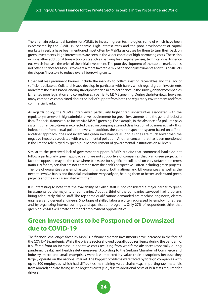<span id="page-23-0"></span>There remain substantial barriers for MSMEs to invest in green technologies, some of which have been exacerbated by the COVID-19 pandemic. High interest rates and the poor development of capital markets in Serbia have been mentioned most often by MSMEs as causes for them to turn their back on green investments. High interest rates are seen in the wider context of high borrowing costs. These also include other additional transaction costs such as banking fees, legal expenses, technical due diligence etc. which increase the price of the initial investment. The poor development of the capital market does not offer a chance for MSMEs to create a more favorable mix of financing instruments and thus obstructs developers/investors to reduce overall borrowing costs.

Other but less prominent barriers include the inability to collect existing receivables and the lack of sufficient collateral. Collateral issues develop in particular with banks which regard green investments more from the asset-based lending standpoint than as a project finance. In the survey, only few companies lamented poor legislation and corruption as a barrier to MSME greening. During the interviews, however, many companies complained about the lack of support from both the regulatory environment and from commercial banks.

As regards policy, the MSMEs interviewed particularly highlighted uncertainties associated with the regulatory framework, high administrative requirements for green investments, and the general lack of a fiscal/financial framework to incentivize MSME greening. For example, in the absence of a polluter-pays system, current eco-taxes are collected based on company size and classification of business activity, thus independent from actual pollution levels. In addition, the current inspection system based on a "findand-fine" approach, does not incentivize green investments as long as fines are much lower than the negative impacts associated with environmental pollution. Another concern that has been mentioned is the limited role played by green public procurement of governmental institutions on all levels.

Similar to the perceived lack of government support, MSMEs criticize that commercial banks do not follow a particularly green approach and are not supportive of companies that plan green projects. In fact, the opposite may be the case where banks ask for significant collateral on very unfavorable terms (ratio 1:2) for projects that are not common from the bank's perspective – often including green projects. The role of guarantees was emphasized in this regard, both national and EU guarantees, as well as the need to involve banks and financial institutions very early on, helping them to better understand green projects and the risks associated with them.

It is interesting to note that the availability of skilled staff is not considered a major barrier to green investments by the majority of companies. About a third of the companies surveyed had problems hiring adequately skilled staff. The top three qualifications demanded are machine engineers, electro engineers and general engineers. Shortages of skilled labor are often addressed by employing retirees and by organizing internal trainings and qualification programs. Only 27% of respondents think that greening MSMEs will create additional employment opportunities.

# **Green Investments to be Postponed or Downsized due to COVID-19**

The financial challenges faced by MSMEs in financing green investments have increased in the face of the COVID-19 pandemic. While the private sector showed overall good resilience during the pandemic, it suffered from an increase in operative costs resulting from workforce absences (especially during pandemic peaks) and health safety measures. According to the Serbian Chamber of Commerce and Industry, micro and small enterprises were less impacted by value chain disruptions because they largely operate on the national market. The biggest problems were faced by foreign companies with up to 500 employees, which had difficulties maintaining value chains (e.g., importing raw materials from abroad) and are facing rising logistics costs (e.g., due to additional costs of PCR tests required for drivers).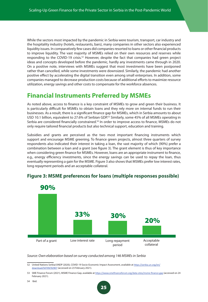<span id="page-24-0"></span>While the sectors most impacted by the pandemic in Serbia were tourism, transport, car industry and the hospitality industry (hotels, restaurants, bars), many companies in other sectors also experienced liquidity issues. In comparatively few cases did companies resorted to loans or other financial products to improve liquidity. The vast majority of MSMEs relied on their own resources and reserves while responding to the COVID-19 crisis.<sup>52</sup> However, despite the fact that companies had green project ideas and concepts developed before the pandemic, hardly any investments came through in 2020. On a positive note, interviews with MSMEs suggest that most investments have been postponed rather than cancelled, while some investments were downsized. Similarly, the pandemic had another positive effect by accelerating the digital transition even among small enterprises. In addition, some companies managed to decrease production costs because of additional efforts to maximize resource utilization, energy savings and other costs to compensate for the workforce absences.

# **Financial Instruments Preferred by MSMEs**

As noted above, access to finance is a key constraint of MSMEs to grow and green their business. It is particularly difficult for MSMEs to obtain loans and they rely more on internal funds to run their businesses. As a result, there is a significant finance gap for MSMEs, which in Serbia amounts to about USD 10.1 billion, equivalent to 27.6% of Serbian GDP.<sup>53</sup> Similarly, some 45% of all MSMEs operating in Serbia are considered financially constrained.<sup>54</sup> In order to improve access to finance, MSMEs do not only require tailored financial products but also technical support, education and training.

Subsidies and grants are perceived as the two most important financing instruments which support and encourage MSME greening. To finance green projects, almost three quarters of survey respondents also indicated their interest in taking a loan, the vast majority of which (90%) prefer a combination between a loan and a grant (see figure 3). The grant element is thus of key importance when considering green finance for MSMEs. However, loans are an appropriate instrument to finance, e.g., energy efficiency investments, since the energy savings can be used to repay the loan, thus eventually representing a gain for the MSME. Figure 3 also shows that MSMEs prefer low interest rates, long repayment periods and an acceptable collateral.



#### **Figure 3: MSME preferences for loans (multiple responses possible)**

*Source: Own elaboration based on survey conducted among 146 MSMEs in Serbia*

<sup>52</sup> United Nations Serbia/UNDP (2020), COVID-19 Socio-Economic Impact Assessment, available at https://[serbia](https://serbia.un.org/en/download/50709/92907).un.org/en/ download/[50709/92907](https://serbia.un.org/en/download/50709/92907) (accessed on 23 February 2021).

<sup>53</sup> SME Finance Forum (2021), MSME Finance Gap, available at https://www.[smefinanceforum](https://www.smefinanceforum.org/data-sites/msme-finance-gap).org/data-sites/msme-finance-gap (accessed on 24 February 2021).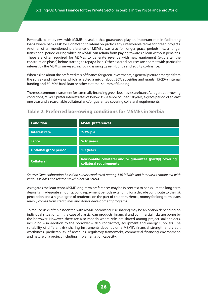Personalized interviews with MSMEs revealed that guarantees play an important role in facilitating loans where banks ask for significant collateral on particularly unfavorable terms for green projects. Another often mentioned preference of MSMEs was also for longer grace periods, i.e., a longer transitional period during which an MSME can refrain from paying towards a loan without penalties. These are often required for MSMEs to generate revenue with new equipment (e.g., after the construction phase) before starting to repay a loan. Other external sources are not met with particular interest by the MSMEs surveyed, including issuing (green) bonds and equity co-finance.

When asked about the preferred mix of finance for green investments, a general picture emerged from the survey and interviews which reflected a mix of about 20% subsidies and grants, 15-25% internal funding and 50-60% bank loan or other external sources of funding.

The most common instrument for externally financing green businesses are loans. As regards borrowing conditions, MSMEs prefer interest rates of below 3%, a tenor of up to 10 years, a grace period of at least one year and a reasonable collateral and/or guarantee covering collateral requirements.

| <b>Condition</b>             | <b>MSME</b> preferences                                                             |
|------------------------------|-------------------------------------------------------------------------------------|
| Interest rate                | 2-3% p.a.                                                                           |
| <b>Tenor</b>                 | 5-10 years                                                                          |
| <b>Optional grace period</b> | 1-2 years                                                                           |
| <b>Collateral</b>            | Reasonable collateral and/or guarantee (partly) covering<br>collateral requirements |

#### **Table 2: Preferred borrowing conditions for MSMEs in Serbia**

*Source: Own elaboration based on survey conducted among 146 MSMEs and interviews conducted with various MSMEs and related stakeholders in Serbia*

As regards the loan tenor, MSME long-term preferences may be in contrast to banks' limited long-term deposits in adequate amounts. Long repayment periods extending for a decade contribute to the risk perception and a high degree of prudence on the part of creditors. Hence, money for long-term loans mainly comes from credit lines and donor development programs.

To reduce risks often associated with MSME borrowing, risk sharing may be an option depending on individual situations. In the case of classic loan products, financial and commercial risks are borne by the borrower. However, there are also models where risks are shared among project stakeholders, including – in addition to the borrower – also contractors, equipment and energy suppliers. The suitability of different risk sharing instruments depends on a MSME's financial strength and credit worthiness, predictability of revenues, regulatory frameworks, commercial financing environment, and nature of a project including implementation capacity.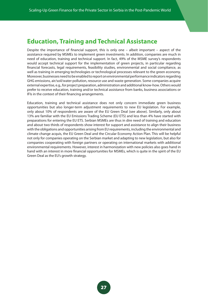### <span id="page-26-0"></span>**Education, Training and Technical Assistance**

Despite the importance of financial support, this is only one – albeit important – aspect of the assistance required by MSMEs to implement green investments. In addition, companies are much in need of education, training and technical support. In fact, 49% of the MSME survey's respondents would accept technical support for the implementation of green projects, in particular regarding financial forecasts, legal requirements, feasibility studies, environmental and social compliance, as well as training in emerging technologies or technological processes relevant to the green economy. Moreover, businesses need to be enabled to report on environmental performance indicators regarding GHG emissions, air/soil/water pollution, resource use and waste generation. Some companies acquire external expertise, e.g., for project preparation, administration and additional know-how. Others would prefer to receive education, training and/or technical assistance from banks, business associations or IFIs in the context of their financing arrangements.

Education, training and technical assistance does not only concern immediate green business opportunities but also longer-term adjustment requirements to new EU legislation. For example, only about 10% of respondents are aware of the EU Green Deal (see above). Similarly, only about 13% are familiar with the EU Emissions Trading Scheme (EU ETS) and less than 4% have started with preparations for entering the EU ETS. Serbian MSMEs are thus in dire need of training and education and about two thirds of respondents show interest for support and assistance to align their business with the obligations and opportunities arising from EU requirements, including the environmental and climate change acquis, the EU Green Deal and the Circular Economy Action Plan. This will be helpful not only for companies operating on the Serbian market and adapting to new legislation, but also for companies cooperating with foreign partners or operating on international markets with additional environmental requirements. However, interest in harmonization with new policies also goes hand in hand with an interest in more financial opportunities for MSMEs, which is quite in the spirit of the EU Green Deal as the EU's growth strategy.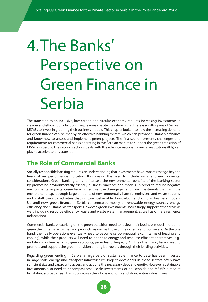# <span id="page-27-0"></span>4.The Banks' Perspective on Green Finance in Serbia

The transition to an inclusive, low-carbon and circular economy requires increasing investments in cleaner and efficient production. The previous chapter has shown that there is a willingness of Serbian MSMEs to invest in greening their business models. This chapter looks into how the increasing demand for green finance can be met by an effective banking system which can provide sustainable finance and know-how to assess and implement green projects. The first section presents challenges and requirements for commercial banks operating in the Serbian market to support the green transition of MSMEs in Serbia. The second sections deals with the role international financial institutions (IFIs) can play to accelerate this transition.

### **The Role of Commercial Banks**

Socially responsible banking requires an understanding that investments have impacts that go beyond financial key performance indicators, thus raising the need to include social and environmental considerations. Green banking aims to increase the environmental benefits of the banking sector by promoting environmentally friendly business practices and models. In order to reduce negative environmental impacts, green banking requires the disengagement from investments that harm the environment, e.g., through large amounts of environmentally harmful emissions and waste streams, and a shift towards activities that nurture sustainable, low-carbon and circular business models. Up until now, green finance in Serbia concentrated mostly on renewable energy sources, energy efficiency and sustainable transport. However, green investments increasingly support other areas as well, including resource efficiency, waste and waste water management, as well as climate resilience (adaptation).

Commercial banks embarking on the green transition need to review their business model in order to green their internal activities and products, as well as those of their clients and borrowers. On the one hand, their daily operations eventually need to become carbon-neutral (e.g., in terms of heating and cooling), while their products will need to prioritize energy and resource efficient alternatives (e.g., mobile and online banking, green accounts, paperless billing etc.). On the other hand, banks need to promote and support the green transition among borrowers through their lending activities.

Regarding green lending in Serbia, a large part of sustainable finance to date has been invested in large-scale energy and transport infrastructure. Project developers in these sectors often have sufficient size and capacity to access and acquire the necessary debt and equity. However, sustainable investments also need to encompass small-scale investments of households and MSMEs aimed at facilitating a broad green transition across the whole economy and along entire value chains.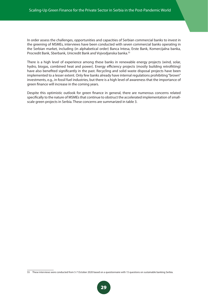In order assess the challenges, opportunities and capacities of Serbian commercial banks to invest in the greening of MSMEs, interviews have been conducted with seven commercial banks operating in the Serbian market, including (in alphabetical order) Banca Intesa, Erste Bank, Komercijalna banka, Procredit Bank, Sberbank, Unicredit Bank and Vojvodjanska banka.55

There is a high level of experience among these banks in renewable energy projects (wind, solar, hydro, biogas, combined heat and power). Energy efficiency projects (mostly building retrofitting) have also benefited significantly in the past. Recycling and solid waste disposal projects have been implemented to a lesser extent. Only few banks already have internal regulations prohibiting "brown" investments, e.g., in fossil fuel industries, but there is a high level of awareness that the importance of green finance will increase in the coming years.

Despite this optimistic outlook for green finance in general, there are numerous concerns related specifically to the nature of MSMEs that continue to obstruct the accelerated implementation of smallscale green projects in Serbia. These concerns are summarized in table 3.

<sup>55</sup> These interviews were conducted from 5-7 October 2020 based on a questionnaire with 15 questions on sustainable banking Serbia.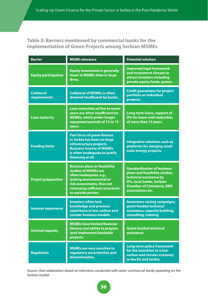**Table 3: Barriers mentioned by commercial banks for the implementation of Green Projects among Serbian MSMEs**

| <b>Barrier</b>                    | <b>MSME</b> relevance                                                                                                                                                                                      | <b>Potential solution</b>                                                                                                                                                             |
|-----------------------------------|------------------------------------------------------------------------------------------------------------------------------------------------------------------------------------------------------------|---------------------------------------------------------------------------------------------------------------------------------------------------------------------------------------|
| <b>Equity participation</b>       | <b>Equity investment is generally</b><br>lower in MSMEs than in large<br>firms.                                                                                                                            | <b>Improved legal framework</b><br>and investment climate to<br>attract investors including<br>private equity funds, grants.                                                          |
| <b>Collateral</b><br>requirements | <b>Collateral of MSMEs is often</b><br>deemed insufficient by banks.                                                                                                                                       | <b>Credit guarantees for project</b><br>portfolio or individual<br>projects.                                                                                                          |
| <b>Loan maturity</b>              | <b>Loan maturities of five to seven</b><br>years are often insufficient for<br><b>MSMEs, which prefer longer</b><br>repayment periods of 12 to 15<br>years.                                                | Long-term loans, support of<br><b>IFIs for loans with maturities</b><br>of more than 15 years.                                                                                        |
| <b>Funding limits</b>             | <b>Past focus of green finance</b><br>in Serbia has been on large<br>infrastructure projects.<br><b>Business income of MSMEs</b><br>is often inadequate to justify<br>financing at all.                    | <b>Integrative solutions such as</b><br>platforms for merging small-<br>scale energy projects.                                                                                        |
| <b>Project preparation</b>        | <b>Business plans or feasibility</b><br>studies of MSMEs are<br>often inadequate, e.g.,<br>lacking environmental or<br>risk assessments, thus not<br>conveying sufficient assurance<br>to outside parties. | <b>Standardization of business</b><br>plans and feasibility studies,<br>technical assistance by<br>IFIs, local banks, Serbian<br><b>Chamber of Commerce, SME</b><br>associations etc. |
| <b>Investor experience</b>        | <b>Investors often lack</b><br>knowledge and previous<br>experience in low-carbon and<br>circular business models.                                                                                         | <b>Awareness raising campaigns,</b><br>grant-funded technical<br>assistance, capacity building,<br>consulting, training                                                               |
| <b>Internal capacity</b>          | <b>MSMEs have limited financial</b><br>literacy and ability to prepare<br>(and implement) bankable<br>projects.                                                                                            | <b>Grant-funded technical</b><br>assistance                                                                                                                                           |
| <b>Regulation</b>                 | <b>MSMEs are very sensitive to</b><br>regulatory uncertainties and<br>discontinuities.                                                                                                                     | <b>Long-term policy framework</b><br>for the transition to a low-<br>carbon and circular economy<br>in the EU and Serbia.                                                             |

*Source: Own elaboration based on interviews conducted with seven commercial banks operating on the Serbian market*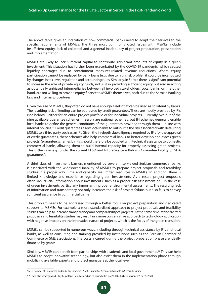The above table gives an indication of how commercial banks need to adapt their services to the specific requirements of MSMEs. The three most commonly cited issues with MSMEs include insufficient equity, lack of collateral and a general inadequacy of project preparation, presentation and implementation.

MSMEs are likely to lack sufficient capital to contribute significant amounts of equity in a green investment. This situation has further been exacerbated by the COVID-19 pandemic, which caused liquidity shortages due to containment measures-related revenue reductions. Where equity participation cannot be replaced by bank loans (e.g., due to high risk profile), it could be incentivized by changes in tax laws, regulation and accounting rules. Similarly, in Serbia there is significant potential to increase the role of private equity funds, not just in providing sufficient equity but also in acting as potentially unbiased intermediaries between all involved stakeholders. Local banks, on the other hand, are not willing to provide equity finance to MSMEs themselves, both due to the Serbian Banking Law and internal procedures.

Given the size of MSMEs, they often do not have enough assets that can be used as collateral by banks. The resulting lack of lending can be addressed by credit guarantees. These are mostly provided by IFIs (see below) – either for an entire project portfolio or for individual projects. Currently two out of the nine available guarantee schemes in Serbia are national schemes, but IFI schemes generally enable local banks to define the general conditions of the guarantees provided through them – in line with internal policies.56 Credit guarantees allow local banks to outsource the risk associated with defaulting MSMEs to a third party such as an IFI. Given the in-depth due diligence required by IFIs for the approval of credit guarantees, these schemes also help commercial banks to better develop and assess green projects. Guarantee schemes by IFIs should therefore be coupled with technical assistance to domestic commercial banks, allowing them to build internal capacity for properly assessing green projects. This is the case, e.g., under the current EFSD and future Western Balkans Guarantee Facility (EFSD+ guarantees).

A third class of investment barriers mentioned by several interviewed Serbian commercial banks is associated with the widespread inability of MSMEs to prepare project proposals and feasibility studies in a proper way. Time and capacity are limited resources in MSMEs. In addition, there is limited knowledge and experience regarding green investments. As a result, project proposals often lack crucial information about investments, such as a proper risk assessment or – in the case of green investments particularly important – proper environmental assessments. The resulting lack of information and transparency not only increases the risk of project failure, but also fails to convey sufficient assurance to commercial banks.

This problem needs to be addressed through a better focus on project preparation and dedicated support to MSMEs. For example, a more standardized approach to project proposals and feasibility studies can help to increase transparency and comparability of projects. At the same time, standardized proposals and feasibility studies may result in a more conservative approach to technology application with negative impacts on the innovative nature of projects, which is the focus of the green transition.

MSMEs can be supported in numerous ways, including through technical assistance by IFIs and local banks, as well as consulting and training provided by institutions such as the Serbian Chamber of Commerce or SME associations. The costs incurred during the project preparation phase are ideally financed by grants.

Similarly, MSMEs can benefit from partnerships with academia and local governments.<sup>57</sup> This can help MSMEs to adopt innovative technology, but also assist them in the implementation phase through mobilizing available experts and project managers at the local level.

<sup>56</sup> Chamber of Commerce and Industry in Serbia (2020), Guarantee Schemes Available in Serbia, Belgrade.

<sup>57</sup> See also Strategija industrijske politike Republike Srbije za period 2021 do 2030 ("Službeni glasnik RS" br. 35/2020)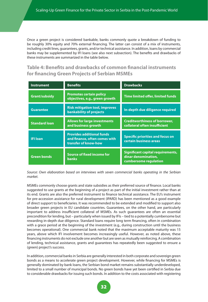Once a green project is considered bankable, banks commonly quote a breakdown of funding to be roughly 30% equity and 70% external financing. The latter can consist of a mix of instruments, including credit lines, guarantees, grants, and/or technical assistance. In addition, loans by commercial banks may be supplemented by IFI loans (see also next subsection). The benefits and drawbacks of these instruments are summarized in the table below.

#### **Table 4: Benefits and drawbacks of common financial instruments for financing Green Projects of Serbian MSMEs**

| <b>Instrument</b>    | <b>Benefits</b>                                                                           | <b>Drawbacks</b>                                                                         |
|----------------------|-------------------------------------------------------------------------------------------|------------------------------------------------------------------------------------------|
| <b>Grant/subsidy</b> | <b>Promotes certain policy</b><br>objectives, e.g., green growth                          | <b>Time limited offer, limited funds</b>                                                 |
| <b>Guarantee</b>     | <b>Risk mitigation tool, improves</b><br><b>bankability of projects</b>                   | In-depth due diligence required                                                          |
| <b>Standard loan</b> | <b>Allows for large investments</b><br>and business growth                                | <b>Creditworthiness of borrower,</b><br>collateral often insufficient                    |
| <b>IFI</b> loan      | <b>Provides additional funds</b><br>and finance, often comes with<br>transfer of know-how | <b>Specific priorities and focus on</b><br>certain business areas                        |
| <b>Green bonds</b>   | <b>Source of fixed income for</b><br><b>banks</b>                                         | <b>Significant capital requirements,</b><br>dinar denomination,<br>cumbersome regulation |

*Source: Own elaboration based on interviews with seven commercial banks operating in the Serbian market.*

MSMEs commonly choose grants and state subsidies as their preferred source of finance. Local banks suggested to use grants at the beginning of a project as part of the initial investment rather than at its end. Grants are also the preferred instrument to finance technical assistance. The EU's instrument for pre-accession assistance for rural development (IPARD) has been mentioned as a good example of direct support to beneficiaries. It was recommended to be extended and modified to support also broader green projects in EU candidate countries. Guarantees, on the other hand, are particularly important to address insufficient collateral of MSMEs. As such guarantees are often an essential precondition for lending, but – particularly when issued by IFIs – tied to a potentially cumbersome but rewarding in-depth due diligence. Standard loans require long term financing, often in combination with a grace period at the beginning of the investment (e.g., during construction until the business becomes operational). One commercial bank noted that the maximum acceptable maturity was 15 years, above which IFI involvement becomes increasingly useful. However, as noted above, these financing instruments do not exclude one another but are seen as mutually reinforcing. A combination of lending, technical assistance, grants and guarantees has repeatedly been suggested to ensure a (green) project's success.

In addition, commercial banks in Serbia are generally interested in both corporate and sovereign green bonds as a means to accelerate green project development. However, while financing for MSMEs is generally dominated by bank loans, the Serbian bond market remains substantially underdeveloped, limited to a small number of municipal bonds. No green bonds have yet been certified in Serbia due to considerable drawbacks for issuing such bonds. In addition to the costs associated with registering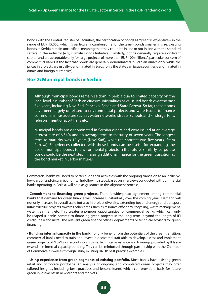bonds with the Central Register of Securities, the certification of bonds as "green" is expensive – in the range of EUR 15,000, which is particularly cumbersome for the green bonds smaller in size. Existing bonds in Serbia remain uncertified, meaning that they could be in line or not in line with the standard setters in the industry (e.g., Climate Bonds Initiative). Similarly, bonds generally require significant capital and are acceptable only for large projects of more than EUR 100 million. A particular concern of commercial banks is the fact that bonds are generally denominated in Serbian dinars only, while the prices in projects are usually denominated in Euros (only the state can issue securities denominated in dinars and foreign currencies).

#### **Box 2: Municipal bonds in Serbia**

Although municipal bonds remain seldom in Serbia due to limited capacity on the local level, a number of Serbian cities/municipalities have issued bonds over the past five years, including Novi Sad, Pancevo, Sabac and Stara Pazova. So far, these bonds have been largely unrelated to environmental projects and were issued to finance communal infrastructure such as water networks, streets, schools and kindergartens, refurbishment of sport halls etc.

Municipal bonds are denominated in Serbian dinars and were issued at an average interest rate of 6.54% and an average term to maturity of seven years. The longest term to maturity was 12 years (Novi Sad), while the shortest was five years (Stara Pazova). Experiences collected with these bonds can be useful for expanding the use of municipal bonds to environmental projects in the future. Similarly, corporate bonds could be the next step in raising additional finance for the green transition as the bond market in Serbia matures.

Commercial banks will need to better align their activities with the ongoing transition to an inclusive, low-carbon and circular economy. The following steps, based on interviews conducted with commercial banks operating in Serbia, will help as guidance in this alignment process.

**- Commitment to financing green projects.** There is widespread agreement among commercial banks that demand for green finance will increase substantially over the coming years. Demand will not only increase in overall scale but also in project diversity, extending beyond energy and transport infrastructure projects towards other areas such as resource efficiency, recycling, waste management, water treatment etc. This creates enormous opportunities for commercial banks which can only be reaped if banks commit to financing green projects in the long-term (beyond the length of IFI credit lines) and install the relevant green finance offices, departments or technical advisors for green financing.

**- Building internal capacity in the bank.** To fully benefit from the potentials of the green transition, commercial banks need to train and invest in dedicated staff able to develop, assess and implement green projects of MSMEs on a continuous basis. Technical assistance and trainings provided by IFIs are essential in internal capacity building. This can be reinforced through partnership with the Chamber of Commerce as well as through using existing UNDP best practice examples.

**- Using experience from green segments of existing portfolio.** Most banks have existing green retail and corporate portfolios. An analysis of ongoing and completed green projects may offer tailored insights, including best practices and lessons-learnt, which can provide a basis for future green investments in new clients and markets.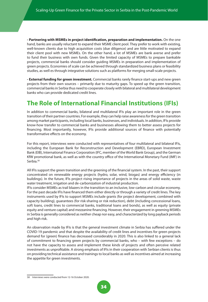<span id="page-33-0"></span>**- Partnering with MSMEs in project identification, preparation and implementation.** On the one hand, banks are usually reluctant to expand their MSME client pool. They prefer to work with existing, well-known clients due to high acquisition costs (due diligence) and are little motivated to expand their client pool with new MSMEs. On the other hand, a lot of MSMEs are bank averse and prefer to fund their business with own funds. Given the limited capacity of MSMEs to prepare bankable projects, commercial banks should consider guiding MSMEs in preparation and implementation of green projects. Economies of scale can be achieved through standardized business plans or feasibility studies, as well es through integrative solutions such as platforms for merging small-scale projects.

**- External funding for green investment.** Commercial banks rarely finance start-ups and new green projects from their own sources – primarily due to maturity gaps. To speed up the green transition, commercial banks in Serbia thus need to cooperate closely with bilateral and multilateral development banks who can provide dedicated credit lines.

# **The Role of International Financial Institutions (IFIs)**

In addition to commercial banks, bilateral and multilateral IFIs play an important role in the green transition of their partner countries. For example, they can help raise awareness for the green transition among market participants, including local banks, businesses, and individuals. In addition, IFIs provide know-how transfer to commercial banks and businesses allowing them to better assess projects for financing. Most importantly, however, IFIs provide additional sources of finance with potentially transformative effects on the economy.

For this report, interviews were conducted with representatives of four multilateral and bilateral IFIs, including the European Bank for Reconstruction and Development (EBRD), European Investment Bank (EIB), International Finance Corporation (IFC, member of the World Bank Group), and the German KfW promotional bank, as well as with the country office of the International Monetary Fund (IMF) in Serbia.<sup>58</sup>

All IFIs support the green transition and the greening of the financial system. In the past, their support concentrated on renewable energy projects (hydro, solar, wind, biogas) and energy efficiency (in buildings). In the future, IFIs project rising importance of projects in the areas of solid waste, waste water treatment, irrigation and de-carbonization of industrial production.

IFIs consider MSMEs as trail blazers in the transition to an inclusive, low-carbon and circular economy. For the past decade IFIs have financed them either directly or through a variety of credit lines. The key instruments used by IFIs to support MSMEs include grants (for project development, combined with capacity building), guarantees (for risk-sharing or risk reduction), debt (including concessional loans, soft loans, credit lines to commercial banks, traditional loans and bonds), as well as equity (private equity and venture capital) and mezzanine financing. However, their engagement in greening MSMEs in Serbia is generally considered as neither cheap nor easy, and characterized by long payback periods and high risk.

An observation made by IFIs is that the general investment climate in Serbia has suffered under the COVID-19 pandemic and that despite the availability of credit lines and incentives for green projects demand for (green) finance has decreased considerably in 2020. This is also linked to a general lack of commitment to financing green projects by commercial banks, who – with few exceptions – do not have the capacity to assess and implement these kinds of projects and often perceive related investments as unprofitable. A strong emphasis of IFIs in their cooperation with Serbian clients is thus on providing technical assistance and trainings to local banks as well as incentives aimed at increasing the appetite for green investments.

<sup>58</sup> Interviews were conducted from 12-16 October 2020.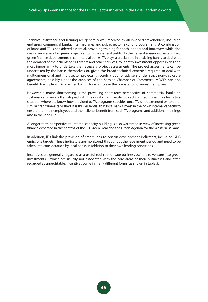Technical assistance and training are generally well received by all involved stakeholders, including end users, commercial banks, intermediaries and public sector (e.g., for procurement). A combination of loans and TA is considered essential, providing training for both lenders and borrowers while also raising awareness for green projects among the general public. In the general absence of established green finance departments in commercial banks, TA plays a crucial role in enabling banks to deal with the demand of their clients for IFI grants and other services, to identify investment opportunities and most importantly to undertake the necessary project assessments. The project assessments can be undertaken by the banks themselves or, given the broad technical expertise required to deal with multidimensional and multisector projects, through a pool of advisers under strict non-disclosure agreements, possibly under the auspices of the Serbian Chamber of Commerce. MSMEs can also benefit directly from TA provided by IFIs, for example in the preparation of investment plans.

However, a major shortcoming is the prevailing short-term perspective of commercial banks on sustainable finance, often aligned with the duration of specific projects or credit lines. This leads to a situation where the know-how provided by TA programs subsides once TA is not extended or no other similar credit line established. It is thus essential that local banks invest in their own internal capacity to ensure that their employees and their clients benefit from such TA programs and additional trainings also in the long run.

A longer-term perspective to internal capacity building is also warranted in view of increasing green finance expected in the context of the EU Green Deal and the Green Agenda for the Western Balkans.

In addition, IFIs link the provision of credit lines to certain development indicators, including GHG emissions targets. These indicators are monitored throughout the repayment period and need to be taken into consideration by local banks in addition to their own lending conditions.

Incentives are generally regarded as a useful tool to motivate business owners to venture into green investments – which are usually not associated with the core areas of their businesses and often regarded as unprofitable. Incentives come in many different forms, as shown in table 5.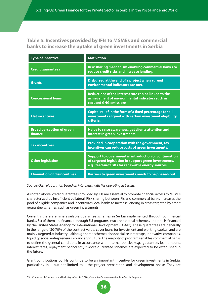**Table 5: Incentives provided by IFIs to MSMEs and commercial banks to increase the uptake of green investments in Serbia**

| <b>Type of incentive</b>                    | <b>Motivation</b>                                                                                                                                                            |  |
|---------------------------------------------|------------------------------------------------------------------------------------------------------------------------------------------------------------------------------|--|
| <b>Credit guarantees</b>                    | Risk sharing mechanism enabling commercial banks to<br>reduce credit risks and increase lending.                                                                             |  |
| <b>Grants</b>                               | Disbursed at the end of a project when agreed<br>environmental indicators are met.                                                                                           |  |
| <b>Concessional loans</b>                   | Reductions of the interest rate can be linked to the<br>achievement of environmental indicators such as<br>reduced GHG emissions.                                            |  |
| <b>Flat incentives</b>                      | Capital relief in the form of a fixed percentage for all<br>investments aligned with certain investment eligibility<br>criteria.                                             |  |
| <b>Broad perception of green</b><br>finance | Helps to raise awareness, get clients attention and<br>interest in green investments.                                                                                        |  |
| <b>Tax incentives</b>                       | Provided in cooperation with the government, tax<br>incentives can reduce costs of green investments.                                                                        |  |
| <b>Other legislation</b>                    | <b>Support to government in introduction or continuation</b><br>of targeted legislation in support green investments,<br>e.g., feed-in-tariffs for renewable energy sources. |  |
| <b>Elimination of disincentives</b>         | Barriers to green investments needs to be phased-out.                                                                                                                        |  |

*Source: Own elaboration based on interviews with IFIs operating in Serbia.*

As noted above, credit guarantees provided by IFIs are essential to promote financial access to MSMEs characterized by insufficient collateral. Risk sharing between IFIs and commercial banks increases the pool of eligible companies and incentivizes local banks to increase lending in areas targeted by credit guarantee schemes, such as green investments.

Currently there are nine available guarantee schemes in Serbia implemented through commercial banks. Six of them are financed through EU programs, two are national schemes, and one is financed by the United States Agency for International Development (USAID). These guarantees are generally in the range of 30-70% of the contract value, cover loans for investment and working capital, and are mainly targeted at industry – although some schemes also specialize in startups, innovative companies, liquidity, social entrepreneurship and agriculture. The majority of programs enables commercial banks to define the general conditions in accordance with internal policies (e.g., guarantee, loan amount, interest rates, repayment period etc.).<sup>59</sup> More quarantee schemes are expected to be established in the future.

Grant contributions by IFIs continue to be an important incentive for green investments in Serbia, particularly in – but not limited to – the project preparation and development phase. They are

<sup>59</sup> Chamber of Commerce and Industry in Serbia (2020), Guarantee Schemes Available in Serbia, Belgrade.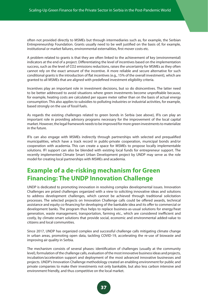<span id="page-36-0"></span>often not provided directly to MSMEs but through intermediaries such as, for example, the Serbian Entrepreneurship Foundation. Grants usually need to be well justified on the basis of, for example, institutional or market failures, environmental externalities, first mover costs etc.

A problem related to grants is that they are often linked to the achievement of key (environmental) indicators at the end of a project. Differentiating the level of incentives based on the implementation success, such as the level of CO2 emissions reductions, raises the uncertainty for MSMEs as they often cannot rely on the exact amount of the incentive. A more reliable and secure alternative for such conditional grants is the introduction of flat incentives (e.g., 15% of the overall investment), which are granted to all MSMEs that are aligned with predefined investment eligibility criteria.

Incentives play an important role in investment decisions, but so do disincentives. The latter need to be better addressed to avoid situations where green investments become unprofitable because, for example, heating costs are calculated per square meter rather than on the basis of actual energy consumption. This also applies to subsidies to polluting industries or industrial activities, for example, based strongly on the use of fossil fuels.

As regards the existing challenges related to green bonds in Serbia (see above), IFIs can play an important role in providing advisory programs necessary for the improvement of the local capital market. However, the legal framework needs to be improved for more green investments to materialize in the future.

IFIs can also engage with MSMEs indirectly through partnerships with selected and prequalified municipalities, which have a track record in public-private cooperation, municipal bonds and/or cooperation with academia. This can create a space for MSMEs to propose locally implementable solutions. IFI support can also be blended with existing local funds for entrepreneur support. The recently implemented Climate Smart Urban Development project by UNDP may serve as the role model for creating local partnerships with MSMEs and academia.

# **Example of a de-risking mechanism for Green Financing: The UNDP Innovation Challenge**

UNDP is dedicated to promoting innovation in resolving complex developmental issues. Innovation Challenges are prized challenges organized with a view to soliciting innovative ideas and solutions to address development challenges, which cannot be achieved through traditional solicitation processes. The selected projects on Innovation Challenge calls could be offered awards, technical assistance and equity co-financing for developing of the bankable idea and its offer to commercial or development banks. The program thus helps to replace business-as-usual solutions for energy/heat generation, waste management, transportation, farming etc., which are considered inefficient and costly, by climate-smart solutions that provide social, economic and environmental added-value to citizens and local communities.

Since 2017, UNDP has organized complex and successful challenge calls mitigating climate change in urban areas, promoting open data, tackling COVID-19, accelerating the re-use of biowaste and improving air quality in Serbia.

The mechanism consists of several phases: identification of challenges (usually at the community level), formulation of the challenge calls, evaluation of the most innovative business ideas and projects, incubation/acceleration support and deployment of the most advanced innovative businesses and projects. UNDP's Innovation Challenge methodology created an enabling environment for public and private companies to make their investments not only bankable, but also less carbon intensive and environment friendly, and thus competitive on the local market.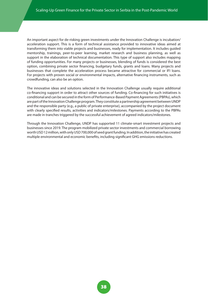An important aspect for de-risking green investments under the Innovation Challenge is incubation/ acceleration support. This is a form of technical assistance provided to innovative ideas aimed at transforming them into viable projects and businesses, ready for implementation. It includes guided mentorship, trainings, peer-to-peer learning, market research and business planning, as well as support in the elaboration of technical documentation. This type of support also includes mapping of funding opportunities. For many projects or businesses, blending of funds is considered the best option, combining private sector financing, budgetary funds, grants and loans. Many projects and businesses that complete the acceleration process became attractive for commercial or IFI loans. For projects with proven social or environmental impacts, alternative financing instruments, such as crowdfunding, can also be an option.

The innovative ideas and solutions selected in the Innovation Challenge usually require additional co-financing support in order to attract other sources of funding. Co-financing for such initiatives is conditional and can be secured in the form of Performance-Based Payment Agreements (PBPAs), which are part of the Innovation Challenge program. They constitute a partnership agreement between UNDP and the responsible party (e.g., a public of private enterprise), accompanied by the project document with clearly specified results, activities and indicators/milestones. Payments according to the PBPAs are made in tranches triggered by the successful achievement of agreed indicators/milestones.

Through the Innovation Challenge, UNDP has supported 11 climate-smart investment projects and businesses since 2019. The program mobilized private sector investments and commercial borrowing worth USD 12 million, with only USD 700,000 of seed grant funding. In addition, the initiative has created multiple environmental and economic benefits, including significant GHG emissions reductions.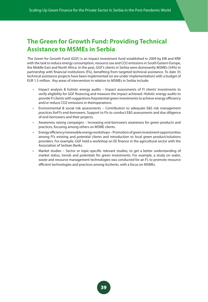# <span id="page-38-0"></span>**The Green for Growth Fund: Providing Technical Assistance to MSMEs in Serbia**

The Green for Growth Fund (GGF) is an impact investment fund established in 2009 by EIB and KfW with the task to reduce energy consumption, resource use and CO2 emissions in South Eastern Europe, the Middle East and North Africa. In the past, GGF's clients in Serbia were dominantly MSMEs (54%) in partnership with financial institutions (FIs), benefiting from targeted technical assistance. To date 35 technical assistance projects have been implemented (or are under implementation) with a budget of EUR 1.5 million. Key areas of intervention in relation to MSMEs in Serbia include:

- Impact analysis & holistic energy audits Impact assessments of FI clients' investments to verify eligibility for GGF financing and measure the impact achieved. Holistic energy audits to provide FI clients with suggestions forpotential green investments to achieve energy efficiency and/or reduce CO2 emissions in theiroperations.
- Environmental & social risk assessments Contribution to adequate E&S risk management practices forFI's end-borrowers. Support to FIs to conduct E&S assessments and due diligence of end-borrowers and their projects.
- Awareness raising campaigns Increasing end-borrowers awareness for green products and practices, focusing among others on MSME clients.
- Energy efficiency/renewable energy workshops-Promotion of green investment opportunities among FI's existing and potential clients and introduction to local green product/solutions providers. For example, GGF held a workshop on EE finance in the agricultural sector with the Association of Serbian Banks.
- Market studies Sector or topic-specific relevant studies, to get a better understanding of market status, trends and potentials for green investments. For example, a study on water, waste and resource management technologies was conducted for an FI, to promote resource efficient technologies and practices among itsclients, with a focus on MSMEs.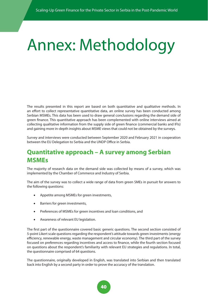# <span id="page-39-0"></span>Annex: Methodology

The results presented in this report are based on both quantitative and qualitative methods. In an effort to collect representative quantitative data, an online survey has been conducted among Serbian MSMEs. This data has been used to draw general conclusions regarding the demand side of green finance. This quantitative approach has been complemented with online interviews aimed at collecting qualitative information from the supply side of green finance (commercial banks and IFIs) and gaining more in-depth insights about MSME views that could not be obtained by the surveys.

Survey and interviews were conducted between September 2020 and February 2021 in cooperation between the EU Delegation to Serbia and the UNDP Office in Serbia.

# **Quantitative approach – A survey among Serbian MSMEs**

The majority of research data on the demand side was collected by means of a survey, which was implemented by the Chamber of Commerce and Industry of Serbia.

The aim of the survey was to collect a wide range of data from green SMEs in pursuit for answers to the following questions:

- • Appetite among MSMEs for green investments,
- Barriers for green investments,
- Preferences of MSMEs for green incentives and loan conditions, and
- • Awareness of relevant EU legislation.

The first part of the questionnaire covered basic generic questions. The second section consisted of 5-point Likert scale questions regarding the respondent's attitude towards green investments (energy efficiency, renewable energy, waste management and circular economy). The third part of the survey focused on preferences regarding incentives and access to finance, while the fourth section focused on questions about the respondent's familiarity with relevant EU strategies and regulations. In total, the questionnaire comprised of 64 questions.

The questionnaire, originally developed in English, was translated into Serbian and then translated back into English by a second party in order to prove the accuracy of the translation.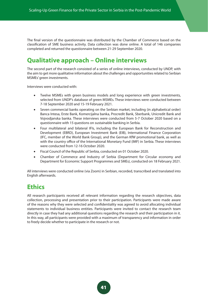<span id="page-40-0"></span>The final version of the questionnaire was distributed by the Chamber of Commerce based on the classification of SME business activity. Data collection was done online. A total of 146 companies completed and returned the questionnaire between 21-29 September 2020.

# **Qualitative approach – Online interviews**

The second part of the research consisted of a series of online interviews, conducted by UNDP, with the aim to get more qualitative information about the challenges and opportunities related to Serbian MSMEs' green investments.

Interviews were conducted with:

- Twelve MSMEs with green business models and long experience with green investments, selected from UNDP's database of green MSMEs. These interviews were conducted between 7-18 September 2020 and 15-19 February 2021.
- Seven commercial banks operating on the Serbian market, including (in alphabetical order) Banca Intesa, Erste Bank, Komercijalna banka, Procredit Bank, Sberbank, Unicredit Bank and Vojvodjanska banka. These interviews were conducted from 5-7 October 2020 based on a questionnaire with 15 questions on sustainable banking in Serbia.
- Four multilateral and bilateral IFIs, including the European Bank for Reconstruction and Development (EBRD), European Investment Bank (EIB), International Finance Corporation (IFC, member of the World Bank Group), and the German KfW promotional bank, as well as with the country office of the International Monetary Fund (IMF) in Serbia. These interviews were conducted from 12-16 October 2020.
- Fiscal Council of the Republic of Serbia, conducted on 01 October 2020.
- Chamber of Commerce and Industry of Serbia (Department for Circular economy and Department for Economic Support Programmes and SMEs), conducted on 18 February 2021.

All interviews were conducted online (via Zoom) in Serbian, recorded, transcribed and translated into English afterwards.

### **Ethics**

All research participants received all relevant information regarding the research objectives, data collection, processing and presentation prior to their participation. Participants were made aware of the reasons why they were selected and confidentiality was agreed to avoid allocating individual statements to individual business entities. Participants were invited to contact the research team directly in case they had any additional questions regarding the research and their participation in it. In this way, all participants were provided with a maximum of transparency and information in order to freely decide whether to participate in the research or not.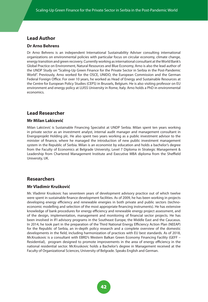#### **Lead Author**

#### **Dr Arno Behrens**

Dr Arno Behrens is an independent International Sustainability Adviser consulting international organizations on environmental policies with particular focus on circular economy, climate change, energy transition and green recovery. Currently working as international consultant at the World Bank's Global Practice on Environment, Natural Resources and Blue Economy, Arno is also the lead author of the UNDP Study on "Scaling-Up Green Finance for the Private Sector in Serbia in the Post-Pandemic World". Previously, Arno worked for the OSCE, UNIDO, the European Commission and the German Federal Foreign Office. For over 10 years, he worked as Head of Energy and Sustainable Resources at the Centre for European Policy Studies (CEPS) in Brussels, Belgium. He is also visiting professor on EU environment and energy policy at LUISS University in Rome, Italy. Arno holds a PhD in environmental economics.

#### **Lead Researcher**

#### **Mr Milan Lakicević**

Milan Lakićević is Sustainable Financing Specialist at UNDP Serbia. Milan spent ten years working in private sector as an investment analyst, internal audit manager and management consultant in Energoprojekt Holding plc. He also spent two years working as a public investment advisor to the minister of finance, where he managed the introduction of new public investment management system in the Republic of Serbia. Milan is an economist by education and holds a bachelor's degree from the Faculty of Economics at Belgrade University, Level 7 Diploma in Strategic Management & Leadership from Chartered Management Institute and Executive MBA diploma from the Sheffield University, UK.

#### **Researchers**

#### **Mr Vladimir Krušković**

Mr. Vladimir Kruskovic has seventeen years of development advisory practice out of which twelve were spent in sustainable finance development facilities. As of 2009, he has been working in projects developing energy efficiency and renewable energies in both private and public sectors (technoeconomic modelling and selection of the most appropriate financing instruments). He has extensive knowledge of bank procedures for energy efficiency and renewable energy project assessment, and of the design, implementation, management and monitoring of financial sector projects. He has been involved in IFI advisory programs in the Southeast Europe, the Middle East and the Caucasus. In 2014, he took part in the preparation of the Third National Energy Efficiency Action Plan (NEEAP) for the Republic of Serbia, an in-depth policy research and a complete overview of the domestic developments in the field, including harmonization of practices with EU best standards. As of 2018, Mr.Kruskovic is a consultant with EBRD's Western Balkan Green Economy Financing Facility (GEFF – Residential), program designed to promote improvements in the area of energy efficiency in the national residential sector. Mr.Kruskovic holds a Bachelor's degree in Management received at the Faculty of Organizational Sciences, University of Belgrade. Speaks English and German.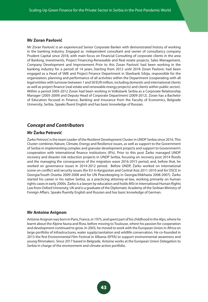#### **Mr Zoran Pavlović**

Mr Zoran Pavlović is an experienced Senior Corporate Banker with demonstrated history of working in the banking industry. Engaged as independent consultant and owner of consultancy company Prudent Capital since 2018, with main focus on Financial Consulting of corporate clients in the area of Banking, Investments, Project Financing-Renewable and Real estate projects, Sales Management, Company Development and Improvement. Prior to this Zoran Pavlović had been working in the banking industry for a period of 14 years. Starting from 2012 until 2018 Zoran Pavlovic had been engaged as a Head of SME and Project Finance Department in Sberbank Srbija, responsible for the organization, planning and performance of all activities within the Department (cooperating with all legal entities with turnover between 1 and 50 EUR million, including domestic and international clients as well as project finance (real estate and renewable energy projects) and clients within public sector). Within a period 2005-2012 Zoran had been working in Volksbank Serbia as a Corporate Relationship Manager (2005-2009) and Deputy Head of Corporate Department (2009-2012). Zoran has a Bachelor of Education focused in Finance, Banking and Insurance from the Faculty of Economics, Belgrade University, Serbia. Speaks fluent English and has basic knowledge of Russian.

#### *Concept and Contributors*

#### **Mr Žarko Petrović**

Žarko Petrović is the team Leader of the Resilient Development Cluster in UNDP Serbia since 2016. This Cluster combines Nature, Climate, Energy and Resilience issues, as well as support to the Government of Serbia in implementing complex and granular development projects and support to Government's cooperation with international finance institutions (IFIs). Prior to this post Žarko managed UNDP recovery and disaster risk reduction projects in UNDP Serbia, focusing on recovery post 2014 floods and the managing the consequences of the migration wave 2016-2015 period, and, before that, he worked on governance issues in 2014-2012 period. Before UNDP, Žarko worked on international scene on conflict and security issues (for EU in Kyrgyzstan and Central Asia 2011-2010 and for OSCE in Georgia/South Ossetia 2009-2008 and for UN Peacekeeping in Georgia/Abkhazia 2008-2007). Žarko started his career in his native Serbia, as a practicing attorney-at-law, working primarily on human rights cases in early 2000s. Žarko is a lawyer by education and holds MSt in International Human Rights Law from Oxford University, UK and is a graduate of the Diplomatic Academy of the Serbian Ministry of Foreign Affairs. Speaks fluently English and Russian and has basic knowledge of German.

#### **Mr Antoine Avignon**

Antoine Avignon was born in Paris, France, in 1975, and spent part of his childhood in the Alps, where he learnt about the Alpine fauna and flora, before moving to Toulouse, where his passion for cooperation and development continued to grow. In 2003, he moved to work with the European Union in Africa on large portfolio of infrastructures, water supply/sanitation and wildlife conservation. He co-founded in 2013 the first Environmental Film Festival in Albania (EFFA) to support environmental awareness and young filmmakers. Since 2017 based in Belgrade, Antoine works at the European Union Delegation to Serbia in charge of the environment and climate action portfolio.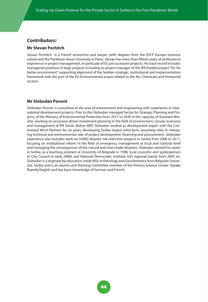#### *Contributors:*

#### **Mr Stevan Pechitch**

Stevan Pechitch is a French economist and lawyer (with degrees from the ESCP Europe business school and the Pantheon-Assas University in Paris). Stevan has more than fifteen years of professional experience in project management, in particular of EU pre accession projects. His track record includes managerial positions in large projects including as project manager of the IPA funded project "EU for better environment" supporting alignment of the Serbian strategic, institutional and implementation framework with the part of the EU Environmental acquis related to the Air, Chemicals and Horizontal sectors.

#### **Mr Slobodan Perović**

Slobodan Perović is consultant in the area of environment and engineering with experience in international development projects. Prior to this Slobodan managed Sector for Strategic Planning and Projects, of the Ministry of Environmental Protection from 2017 to 2020 in the capacity of Assistant Minister, working on accession driven investment planning in the field of environment, circular economy and management of IPA funds. Before MEP, Slobodan worked as development expert with the Continental Wind Partners for six years, developing Serbia largest wind farm, assuming roles in managing technical and environmental side of project development, financing and procurement. Slobodan experience also includes work on USAID disaster risk reduction projects in Serbia from 2006 to 2011, focusing on institutional reform in the field of emergency management at local and national level and managing the consequences of the natural and man-made disasters. Slobodan started his career in Serbia, as a teaching assistant at University of Belgrade in 1998, local councilor and spokesperson to City Council in early 2000s and National Democratic Institute (US) regional trainer from 2003 on. Slobodan is a engineer by education, holds MSc in Petrology and Geochemistry from Belgrade University, Serbia and is an alumni and Steering Committee member of the Petnica Science Center. Speaks fluently English and has basic knowledge of German and French.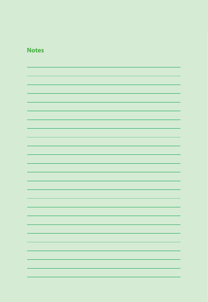# **Notes**

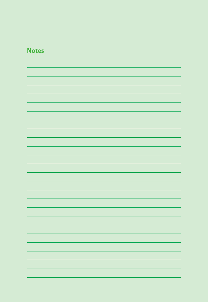# **Notes**